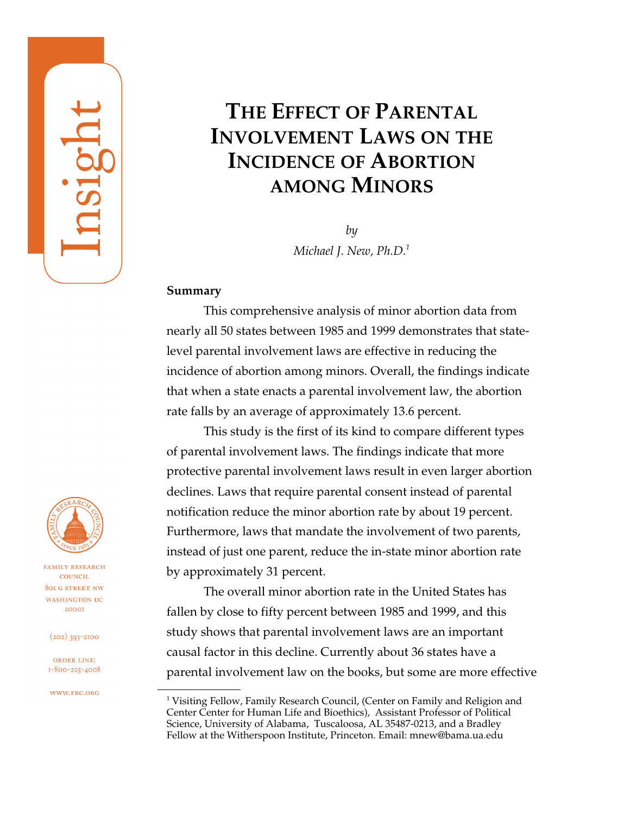# **THE EFFECT OF PARENTAL INVOLVEMENT LAWS ON THE INCIDENCE OF ABORTION AMONG MINORS**

*by Michael J. New, Ph.D.1*

### **Summary**

This comprehensive analysis of minor abortion data from nearly all 50 states between 1985 and 1999 demonstrates that statelevel parental involvement laws are effective in reducing the incidence of abortion among minors. Overall, the findings indicate that when a state enacts a parental involvement law, the abortion rate falls by an average of approximately 13.6 percent.

This study is the first of its kind to compare different types of parental involvement laws. The findings indicate that more protective parental involvement laws result in even larger abortion declines. Laws that require parental consent instead of parental notification reduce the minor abortion rate by about 19 percent. Furthermore, laws that mandate the involvement of two parents, instead of just one parent, reduce the in-state minor abortion rate by approximately 31 percent.

The overall minor abortion rate in the United States has fallen by close to fifty percent between 1985 and 1999, and this study shows that parental involvement laws are an important causal factor in this decline. Currently about 36 states have a parental involvement law on the books, but some are more effective



**FAMILY RESEARCH** COUNCIL **801 G STREET NW** WASHINGTON DC 20001

 $(202)$  393-2100

ORDER LINE: 1-800-225-4008

WWW.FRC.ORG

 $^1$  Visiting Fellow, Family Research Council, (Center on Family and Religion and Center Center for Human Life and Bioethics), Assistant Professor of Political Science, University of Alabama, Tuscaloosa, AL 35487-0213, and a Bradley Fellow at the Witherspoon Institute, Princeton. Email: mnew@bama.ua.edu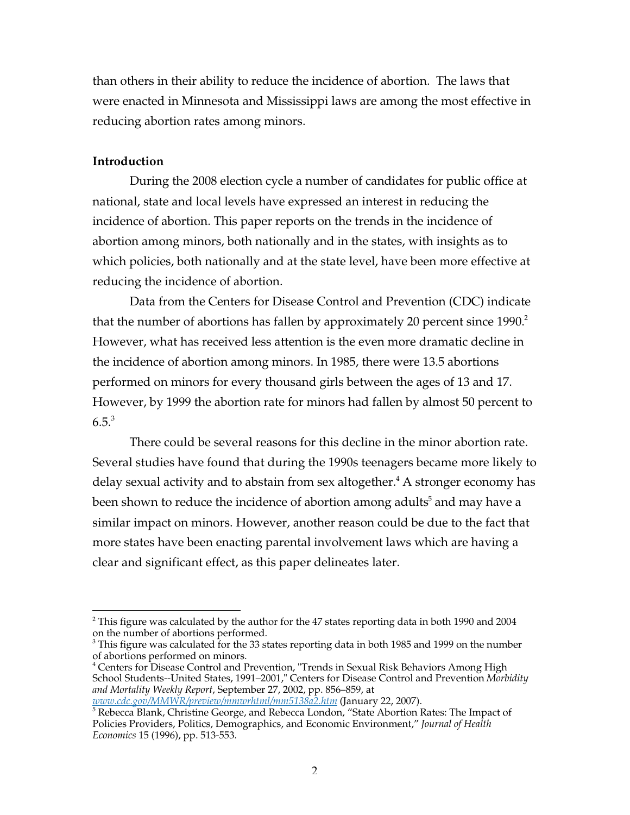than others in their ability to reduce the incidence of abortion. The laws that were enacted in Minnesota and Mississippi laws are among the most effective in reducing abortion rates among minors.

### **Introduction**

During the 2008 election cycle a number of candidates for public office at national, state and local levels have expressed an interest in reducing the incidence of abortion. This paper reports on the trends in the incidence of abortion among minors, both nationally and in the states, with insights as to which policies, both nationally and at the state level, have been more effective at reducing the incidence of abortion.

Data from the Centers for Disease Control and Prevention (CDC) indicate that the number of abortions has fallen by approximately 20 percent since 1990.<sup>2</sup> However, what has received less attention is the even more dramatic decline in the incidence of abortion among minors. In 1985, there were 13.5 abortions performed on minors for every thousand girls between the ages of 13 and 17. However, by 1999 the abortion rate for minors had fallen by almost 50 percent to  $6.5<sup>3</sup>$ 

There could be several reasons for this decline in the minor abortion rate. Several studies have found that during the 1990s teenagers became more likely to delay sexual activity and to abstain from sex altogether. $^{\rm 4}$  A stronger economy has been shown to reduce the incidence of abortion among adults $^5$  and may have a similar impact on minors. However, another reason could be due to the fact that more states have been enacting parental involvement laws which are having a clear and significant effect, as this paper delineates later.

 $\overline{a}$  $^{\rm 2}$  This figure was calculated by the author for the 47 states reporting data in both 1990 and 2004 on the number of abortions performed.

 $^3$  This figure was calculated for the 33 states reporting data in both 1985 and 1999 on the number of abortions performed on minors.

<sup>&</sup>lt;sup>4</sup> Centers for Disease Control and Prevention, "Trends in Sexual Risk Behaviors Among High School Students--United States, 1991–2001," Centers for Disease Control and Prevention *Morbidity and Mortality Weekly Report*, September 27, 2002, pp. 856–859, at

*www.cdc.gov/MMWR/preview/mmwrhtml/mm5138a2.htm* (January 22, 2007). <sup>5</sup> Rebecca Blank, Christine George, and Rebecca London, "State Abortion Rates: The Impact of Policies Providers, Politics, Demographics, and Economic Environment," *Journal of Health Economics* 15 (1996), pp. 513-553.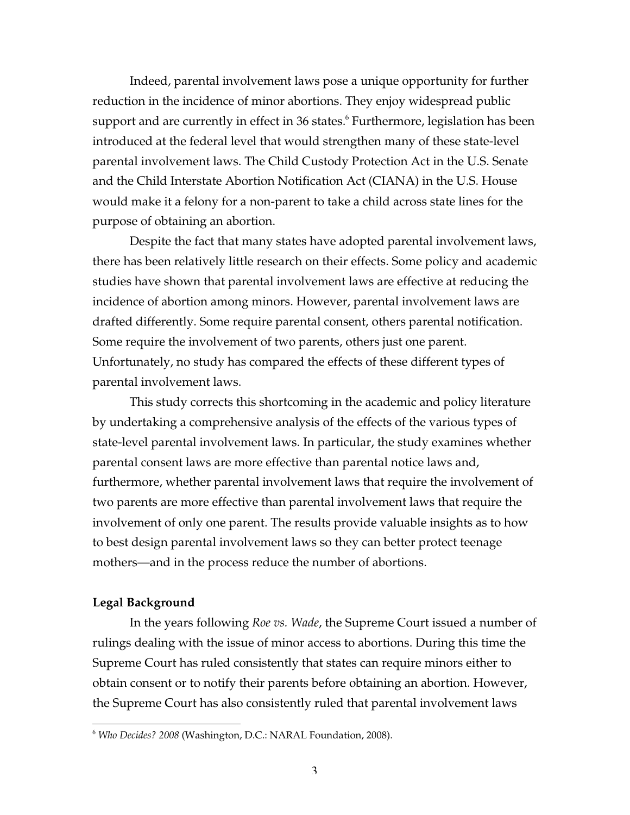Indeed, parental involvement laws pose a unique opportunity for further reduction in the incidence of minor abortions. They enjoy widespread public support and are currently in effect in 36 states. $^6$  Furthermore, legislation has been introduced at the federal level that would strengthen many of these state-level parental involvement laws. The Child Custody Protection Act in the U.S. Senate and the Child Interstate Abortion Notification Act (CIANA) in the U.S. House would make it a felony for a non-parent to take a child across state lines for the purpose of obtaining an abortion.

Despite the fact that many states have adopted parental involvement laws, there has been relatively little research on their effects. Some policy and academic studies have shown that parental involvement laws are effective at reducing the incidence of abortion among minors. However, parental involvement laws are drafted differently. Some require parental consent, others parental notification. Some require the involvement of two parents, others just one parent. Unfortunately, no study has compared the effects of these different types of parental involvement laws.

This study corrects this shortcoming in the academic and policy literature by undertaking a comprehensive analysis of the effects of the various types of state-level parental involvement laws. In particular, the study examines whether parental consent laws are more effective than parental notice laws and, furthermore, whether parental involvement laws that require the involvement of two parents are more effective than parental involvement laws that require the involvement of only one parent. The results provide valuable insights as to how to best design parental involvement laws so they can better protect teenage mothers—and in the process reduce the number of abortions.

#### **Legal Background**

 $\overline{a}$ 

In the years following *Roe vs. Wade*, the Supreme Court issued a number of rulings dealing with the issue of minor access to abortions. During this time the Supreme Court has ruled consistently that states can require minors either to obtain consent or to notify their parents before obtaining an abortion. However, the Supreme Court has also consistently ruled that parental involvement laws

<sup>6</sup> *Who Decides? 2008* (Washington, D.C.: NARAL Foundation, 2008).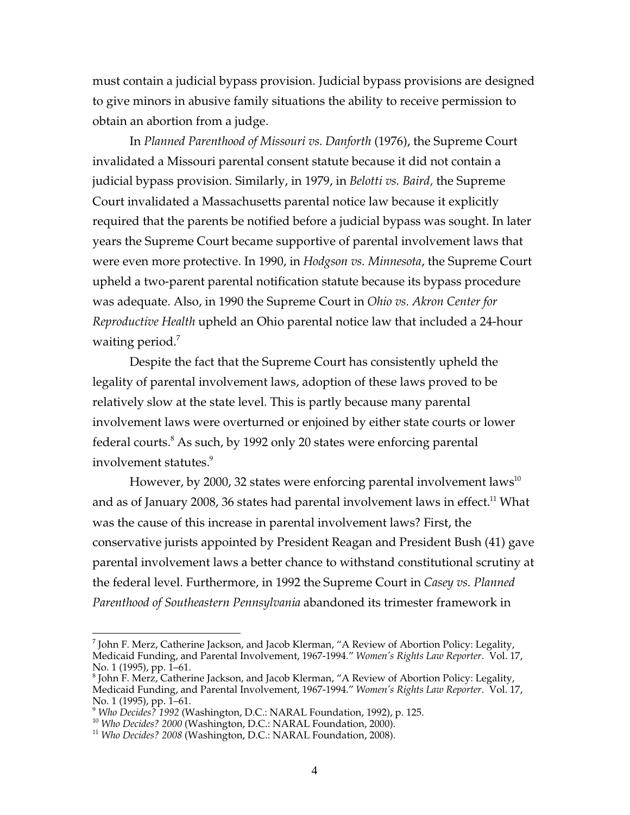must contain a judicial bypass provision. Judicial bypass provisions are designed to give minors in abusive family situations the ability to receive permission to obtain an abortion from a judge.

In *Planned Parenthood of Missouri vs. Danforth* (1976), the Supreme Court invalidated a Missouri parental consent statute because it did not contain a judicial bypass provision. Similarly, in 1979, in *Belotti vs. Baird,* the Supreme Court invalidated a Massachusetts parental notice law because it explicitly required that the parents be notified before a judicial bypass was sought. In later years the Supreme Court became supportive of parental involvement laws that were even more protective. In 1990, in *Hodgson vs. Minnesota*, the Supreme Court upheld a two-parent parental notification statute because its bypass procedure was adequate. Also, in 1990 the Supreme Court in *Ohio vs. Akron Center for Reproductive Health* upheld an Ohio parental notice law that included a 24-hour waiting period.<sup>7</sup>

Despite the fact that the Supreme Court has consistently upheld the legality of parental involvement laws, adoption of these laws proved to be relatively slow at the state level. This is partly because many parental involvement laws were overturned or enjoined by either state courts or lower federal courts. $^8$  As such, by 1992 only 20 states were enforcing parental involvement statutes.<sup>9</sup>

However, by 2000, 32 states were enforcing parental involvement laws $^{10}$ and as of January 2008, 36 states had parental involvement laws in effect. $^{\rm 11}$  What was the cause of this increase in parental involvement laws? First, the conservative jurists appointed by President Reagan and President Bush (41) gave parental involvement laws a better chance to withstand constitutional scrutiny at the federal level. Furthermore, in 1992 the Supreme Court in *Casey vs. Planned Parenthood of Southeastern Pennsylvania* abandoned its trimester framework in

 $\overline{a}$ 

 $^7$  John F. Merz, Catherine Jackson, and Jacob Klerman, "A Review of Abortion Policy: Legality, Medicaid Funding, and Parental Involvement, 1967-1994." *Women's Rights Law Reporter*. Vol. 17, No. 1 (1995), pp. 1–61.

 $^8$  John F. Merz, Catherine Jackson, and Jacob Klerman, "A Review of Abortion Policy: Legality, Medicaid Funding, and Parental Involvement, 1967-1994." *Women's Rights Law Reporter*. Vol. 17, No. 1 (1995), pp. 1-61.

<sup>&</sup>lt;sup>9</sup> *Who Decides?* 1992 (Washington, D.C.: NARAL Foundation, 1992), p. 125.<br><sup>10</sup> *Who Decides? 2000* (Washington, D.C.: NARAL Foundation, 2000).<br><sup>11</sup> *Who Decides? 2008* (Washington, D.C.: NARAL Foundation, 2008).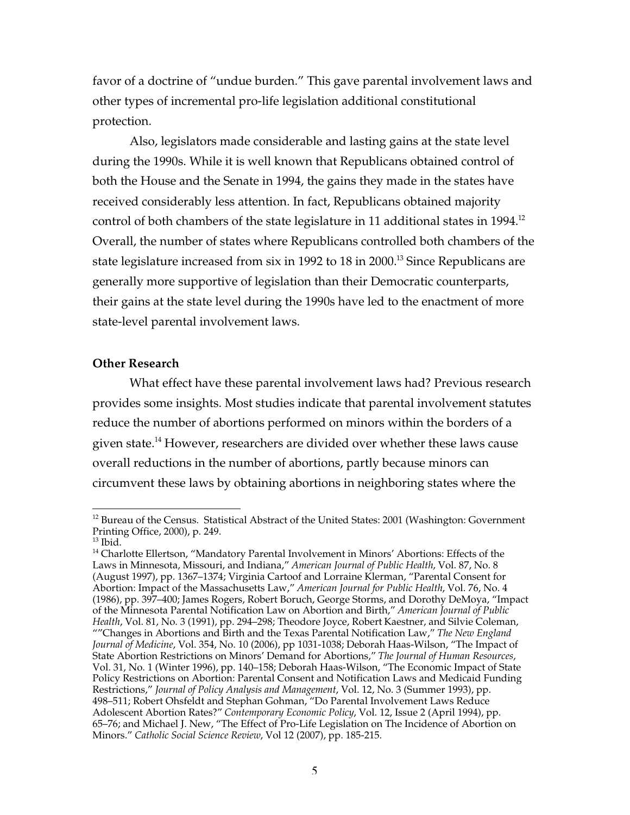favor of a doctrine of "undue burden." This gave parental involvement laws and other types of incremental pro-life legislation additional constitutional protection.

Also, legislators made considerable and lasting gains at the state level during the 1990s. While it is well known that Republicans obtained control of both the House and the Senate in 1994, the gains they made in the states have received considerably less attention. In fact, Republicans obtained majority control of both chambers of the state legislature in 11 additional states in 1994.<sup>12</sup> Overall, the number of states where Republicans controlled both chambers of the state legislature increased from six in 1992 to 18 in 2000.<sup>13</sup> Since Republicans are generally more supportive of legislation than their Democratic counterparts, their gains at the state level during the 1990s have led to the enactment of more state-level parental involvement laws.

### **Other Research**

What effect have these parental involvement laws had? Previous research provides some insights. Most studies indicate that parental involvement statutes reduce the number of abortions performed on minors within the borders of a given state.<sup>14</sup> However, researchers are divided over whether these laws cause overall reductions in the number of abortions, partly because minors can circumvent these laws by obtaining abortions in neighboring states where the

 $\overline{a}$ 

<sup>&</sup>lt;sup>12</sup> Bureau of the Census. Statistical Abstract of the United States: 2001 (Washington: Government Printing Office, 2000), p. 249.

 $^{13}$  Ibid.

<sup>&</sup>lt;sup>14</sup> Charlotte Ellertson, "Mandatory Parental Involvement in Minors' Abortions: Effects of the Laws in Minnesota, Missouri, and Indiana," *American Journal of Public Health*, Vol. 87, No. 8 (August 1997), pp. 1367–1374; Virginia Cartoof and Lorraine Klerman, "Parental Consent for Abortion: Impact of the Massachusetts Law," *American Journal for Public Health*, Vol. 76, No. 4 (1986), pp. 397–400; James Rogers, Robert Boruch, George Storms, and Dorothy DeMoya, "Impact of the Minnesota Parental Notification Law on Abortion and Birth," *American Journal of Public Health*, Vol. 81, No. 3 (1991), pp. 294–298; Theodore Joyce, Robert Kaestner, and Silvie Coleman, ""Changes in Abortions and Birth and the Texas Parental Notification Law," *The New England Journal of Medicine*, Vol. 354, No. 10 (2006), pp 1031-1038; Deborah Haas-Wilson, "The Impact of State Abortion Restrictions on Minors' Demand for Abortions," *The Journal of Human Resources*, Vol. 31, No. 1 (Winter 1996), pp. 140–158; Deborah Haas-Wilson, "The Economic Impact of State Policy Restrictions on Abortion: Parental Consent and Notification Laws and Medicaid Funding Restrictions," *Journal of Policy Analysis and Management*, Vol. 12, No. 3 (Summer 1993), pp. 498–511; Robert Ohsfeldt and Stephan Gohman, "Do Parental Involvement Laws Reduce Adolescent Abortion Rates?" *Contemporary Economic Policy*, Vol. 12, Issue 2 (April 1994), pp. 65–76; and Michael J. New, "The Effect of Pro-Life Legislation on The Incidence of Abortion on Minors." *Catholic Social Science Review*, Vol 12 (2007), pp. 185-215.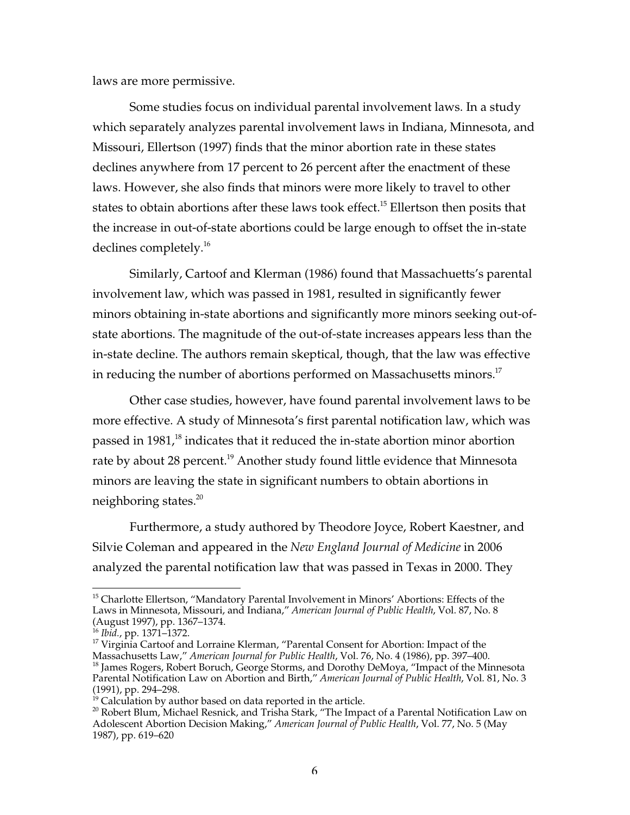laws are more permissive.

Some studies focus on individual parental involvement laws. In a study which separately analyzes parental involvement laws in Indiana, Minnesota, and Missouri, Ellertson (1997) finds that the minor abortion rate in these states declines anywhere from 17 percent to 26 percent after the enactment of these laws. However, she also finds that minors were more likely to travel to other states to obtain abortions after these laws took effect.<sup>15</sup> Ellertson then posits that the increase in out-of-state abortions could be large enough to offset the in-state declines completely.<sup>16</sup>

Similarly, Cartoof and Klerman (1986) found that Massachuetts's parental involvement law, which was passed in 1981, resulted in significantly fewer minors obtaining in-state abortions and significantly more minors seeking out-ofstate abortions. The magnitude of the out-of-state increases appears less than the in-state decline. The authors remain skeptical, though, that the law was effective in reducing the number of abortions performed on Massachusetts minors.<sup>17</sup>

Other case studies, however, have found parental involvement laws to be more effective. A study of Minnesota's first parental notification law, which was passed in 1981, $^{18}$  indicates that it reduced the in-state abortion minor abortion rate by about 28 percent.<sup>19</sup> Another study found little evidence that Minnesota minors are leaving the state in significant numbers to obtain abortions in neighboring states.<sup>20</sup>

Furthermore, a study authored by Theodore Joyce, Robert Kaestner, and Silvie Coleman and appeared in the *New England Journal of Medicine* in 2006 analyzed the parental notification law that was passed in Texas in 2000. They

 $\overline{a}$ 

<sup>&</sup>lt;sup>15</sup> Charlotte Ellertson, "Mandatory Parental Involvement in Minors' Abortions: Effects of the Laws in Minnesota, Missouri, and Indiana," *American Journal of Public Health*, Vol. 87, No. 8 (August 1997), pp. 1367–1374.

<sup>&</sup>lt;sup>16</sup> Ibid., pp. 1371–1372.<br><sup>17</sup> Virginia Cartoof and

<sup>&</sup>lt;sup>17</sup> Virginia Cartoof and Lorraine Klerman, "Parental Consent for Abortion: Impact of the Massachusetts Law," *American Journal for Public Health*, Vol. 76, No. 4 (1986), pp. 397–400. <sup>18</sup>

<sup>&</sup>lt;sup>18</sup> James Rogers, Robert Boruch, George Storms, and Dorothy DeMoya, "Impact of the Minnesota Parental Notification Law on Abortion and Birth," *American Journal of Public Health*, Vol. 81, No. 3 (1991), pp. 294–298.

 $19$  Calculation by author based on data reported in the article.

 $^{\text{20}}$  Robert Blum, Michael Resnick, and Trisha Stark, "The Impact of a Parental Notification Law on Adolescent Abortion Decision Making," *American Journal of Public Health*, Vol. 77, No. 5 (May 1987), pp. 619–620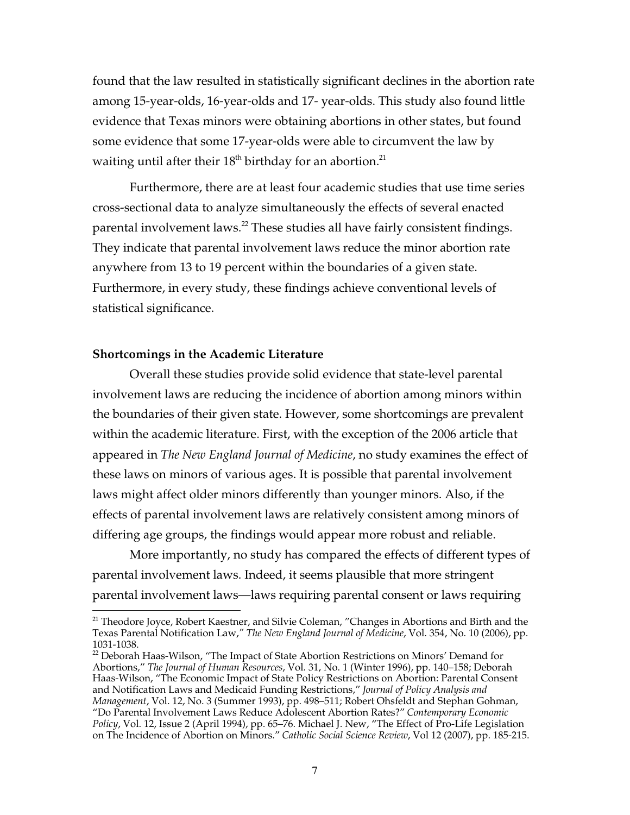found that the law resulted in statistically significant declines in the abortion rate among 15-year-olds, 16-year-olds and 17- year-olds. This study also found little evidence that Texas minors were obtaining abortions in other states, but found some evidence that some 17-year-olds were able to circumvent the law by waiting until after their  $18<sup>th</sup>$  birthday for an abortion.<sup>21</sup>

Furthermore, there are at least four academic studies that use time series cross-sectional data to analyze simultaneously the effects of several enacted parental involvement laws. $^{22}$  These studies all have fairly consistent findings. They indicate that parental involvement laws reduce the minor abortion rate anywhere from 13 to 19 percent within the boundaries of a given state. Furthermore, in every study, these findings achieve conventional levels of statistical significance.

#### **Shortcomings in the Academic Literature**

 $\overline{a}$ 

Overall these studies provide solid evidence that state-level parental involvement laws are reducing the incidence of abortion among minors within the boundaries of their given state. However, some shortcomings are prevalent within the academic literature. First, with the exception of the 2006 article that appeared in *The New England Journal of Medicine*, no study examines the effect of these laws on minors of various ages. It is possible that parental involvement laws might affect older minors differently than younger minors. Also, if the effects of parental involvement laws are relatively consistent among minors of differing age groups, the findings would appear more robust and reliable.

More importantly, no study has compared the effects of different types of parental involvement laws. Indeed, it seems plausible that more stringent parental involvement laws—laws requiring parental consent or laws requiring

<sup>&</sup>lt;sup>21</sup> Theodore Joyce, Robert Kaestner, and Silvie Coleman, "Changes in Abortions and Birth and the Texas Parental Notification Law,*" The New England Journal of Medicine*, Vol. 354, No. 10 (2006), pp. 1031-1038.

 $^{22}$  Deborah Haas-Wilson, "The Impact of State Abortion Restrictions on Minors' Demand for Abortions," *The Journal of Human Resources*, Vol. 31, No. 1 (Winter 1996), pp. 140–158; Deborah Haas-Wilson, "The Economic Impact of State Policy Restrictions on Abortion: Parental Consent and Notification Laws and Medicaid Funding Restrictions," *Journal of Policy Analysis and Management*, Vol. 12, No. 3 (Summer 1993), pp. 498–511; Robert Ohsfeldt and Stephan Gohman, "Do Parental Involvement Laws Reduce Adolescent Abortion Rates?" *Contemporary Economic Policy*, Vol. 12, Issue 2 (April 1994), pp. 65–76. Michael J. New, "The Effect of Pro-Life Legislation on The Incidence of Abortion on Minors." *Catholic Social Science Review*, Vol 12 (2007), pp. 185-215.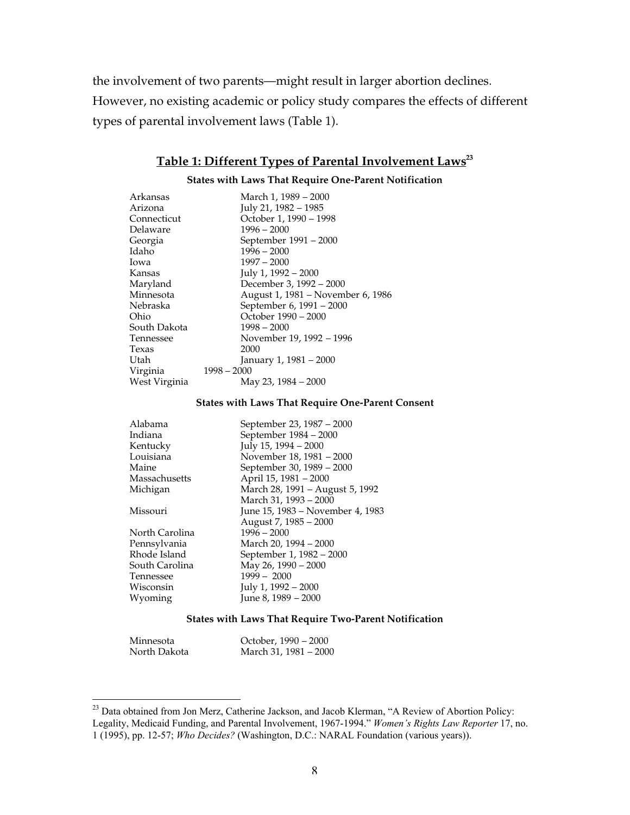the involvement of two parents—might result in larger abortion declines. However, no existing academic or policy study compares the effects of different types of parental involvement laws (Table 1).

# **Table 1: Different Types of Parental Involvement Laws 23**

#### **States with Laws That Require One-Parent Notification**

| Arkansas      | March 1, 1989 - 2000              |
|---------------|-----------------------------------|
| Arizona       | July 21, 1982 - 1985              |
| Connecticut   | October 1, 1990 - 1998            |
| Delaware      | $1996 - 2000$                     |
| Georgia       | September 1991 – 2000             |
| Idaho         | $1996 - 2000$                     |
| Iowa          | $1997 - 2000$                     |
| Kansas        | July 1, 1992 - 2000               |
| Maryland      | December 3, 1992 - 2000           |
| Minnesota     | August 1, 1981 - November 6, 1986 |
| Nebraska      | September 6, 1991 – 2000          |
| Ohio          | October 1990 - 2000               |
| South Dakota  | $1998 - 2000$                     |
| Tennessee     | November 19, 1992 – 1996          |
| Texas         | 2000                              |
| Utah          | January 1, 1981 – 2000            |
| Virginia      | $1998 - 2000$                     |
| West Virginia | May 23, 1984 – 2000               |
|               |                                   |

#### **States with Laws That Require One-Parent Consent**

| Alabama        | September 23, 1987 - 2000        |
|----------------|----------------------------------|
| Indiana        | September 1984 - 2000            |
| Kentucky       | July 15, 1994 – 2000             |
| Louisiana      | November 18, 1981 - 2000         |
| Maine          | September 30, 1989 – 2000        |
| Massachusetts  | April 15, 1981 - 2000            |
| Michigan       | March 28, 1991 - August 5, 1992  |
|                | March 31, 1993 - 2000            |
| Missouri       | June 15, 1983 – November 4, 1983 |
|                | August 7, 1985 – 2000            |
| North Carolina | $1996 - 2000$                    |
| Pennsylvania   | March 20, 1994 - 2000            |
| Rhode Island   | September 1, 1982 - 2000         |
| South Carolina | May 26, 1990 - 2000              |
| Tennessee      | $1999 - 2000$                    |
| Wisconsin      | July 1, 1992 - 2000              |
| Wyoming        | June 8, 1989 - 2000              |
|                |                                  |

#### **States with Laws That Require Two-Parent Notification**

| Minnesota    | October, 1990 – 2000  |
|--------------|-----------------------|
| North Dakota | March 31, 1981 – 2000 |

<sup>&</sup>lt;sup>23</sup> Data obtained from Jon Merz, Catherine Jackson, and Jacob Klerman, "A Review of Abortion Policy: Legality, Medicaid Funding, and Parental Involvement, 1967-1994." *Women's Rights Law Reporter* 17, no. 1 (1995), pp. 12-57; *Who Decides?* (Washington, D.C.: NARAL Foundation (various years)).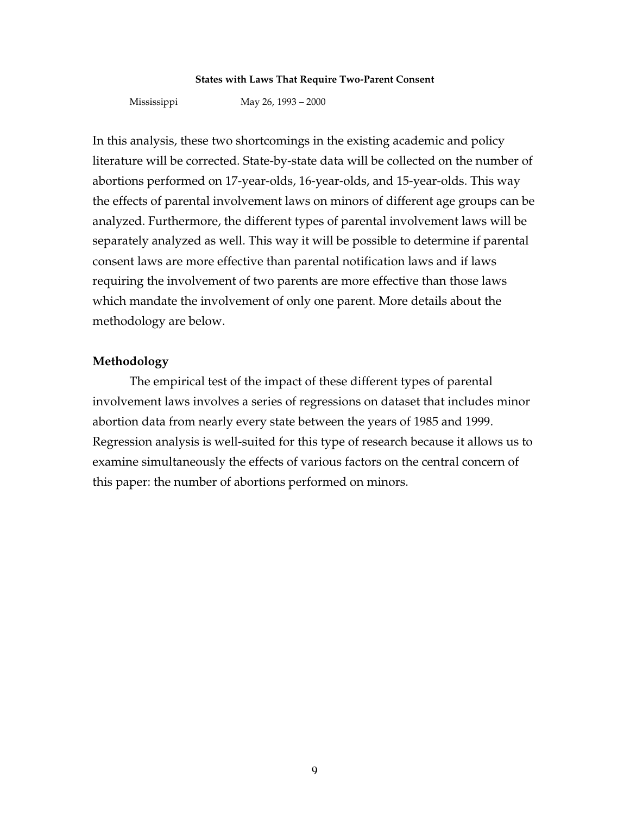#### **States with Laws That Require Two-Parent Consent**

Mississippi May 26, 1993 – 2000

In this analysis, these two shortcomings in the existing academic and policy literature will be corrected. State-by-state data will be collected on the number of abortions performed on 17-year-olds, 16-year-olds, and 15-year-olds. This way the effects of parental involvement laws on minors of different age groups can be analyzed. Furthermore, the different types of parental involvement laws will be separately analyzed as well. This way it will be possible to determine if parental consent laws are more effective than parental notification laws and if laws requiring the involvement of two parents are more effective than those laws which mandate the involvement of only one parent. More details about the methodology are below.

#### **Methodology**

The empirical test of the impact of these different types of parental involvement laws involves a series of regressions on dataset that includes minor abortion data from nearly every state between the years of 1985 and 1999. Regression analysis is well-suited for this type of research because it allows us to examine simultaneously the effects of various factors on the central concern of this paper: the number of abortions performed on minors.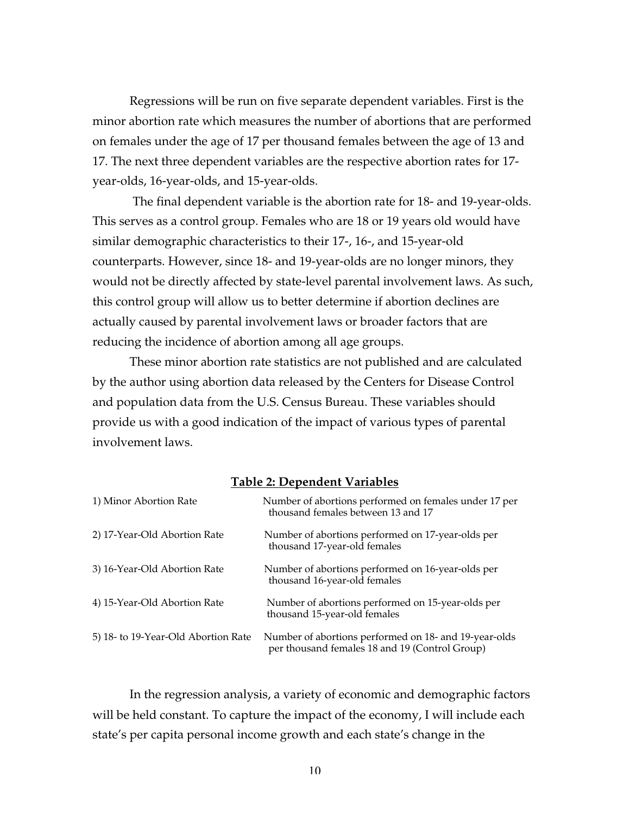Regressions will be run on five separate dependent variables. First is the minor abortion rate which measures the number of abortions that are performed on females under the age of 17 per thousand females between the age of 13 and 17. The next three dependent variables are the respective abortion rates for 17 year-olds, 16-year-olds, and 15-year-olds.

 The final dependent variable is the abortion rate for 18- and 19-year-olds. This serves as a control group. Females who are 18 or 19 years old would have similar demographic characteristics to their 17-, 16-, and 15-year-old counterparts. However, since 18- and 19-year-olds are no longer minors, they would not be directly affected by state-level parental involvement laws. As such, this control group will allow us to better determine if abortion declines are actually caused by parental involvement laws or broader factors that are reducing the incidence of abortion among all age groups.

These minor abortion rate statistics are not published and are calculated by the author using abortion data released by the Centers for Disease Control and population data from the U.S. Census Bureau. These variables should provide us with a good indication of the impact of various types of parental involvement laws.

**Table 2: Dependent Variables**

| 1) Minor Abortion Rate              | Number of abortions performed on females under 17 per<br>thousand females between 13 and 17             |
|-------------------------------------|---------------------------------------------------------------------------------------------------------|
| 2) 17-Year-Old Abortion Rate        | Number of abortions performed on 17-year-olds per<br>thousand 17-year-old females                       |
| 3) 16-Year-Old Abortion Rate        | Number of abortions performed on 16-year-olds per<br>thousand 16-year-old females                       |
| 4) 15-Year-Old Abortion Rate        | Number of abortions performed on 15-year-olds per<br>thousand 15-year-old females                       |
| 5) 18- to 19-Year-Old Abortion Rate | Number of abortions performed on 18- and 19-year-olds<br>per thousand females 18 and 19 (Control Group) |

In the regression analysis, a variety of economic and demographic factors will be held constant. To capture the impact of the economy, I will include each state's per capita personal income growth and each state's change in the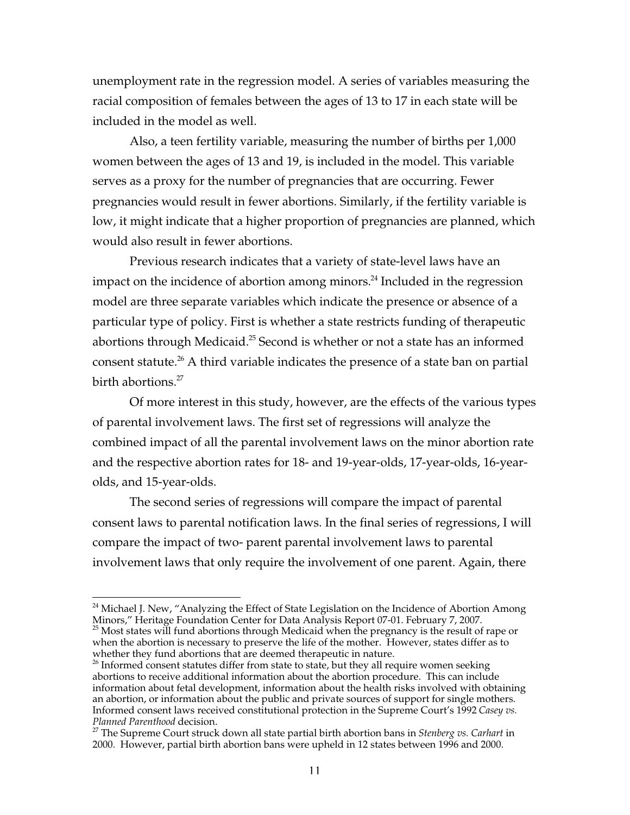unemployment rate in the regression model. A series of variables measuring the racial composition of females between the ages of 13 to 17 in each state will be included in the model as well.

Also, a teen fertility variable, measuring the number of births per 1,000 women between the ages of 13 and 19, is included in the model. This variable serves as a proxy for the number of pregnancies that are occurring. Fewer pregnancies would result in fewer abortions. Similarly, if the fertility variable is low, it might indicate that a higher proportion of pregnancies are planned, which would also result in fewer abortions.

Previous research indicates that a variety of state-level laws have an impact on the incidence of abortion among minors. $^{24}$  Included in the regression model are three separate variables which indicate the presence or absence of a particular type of policy. First is whether a state restricts funding of therapeutic abortions through Medicaid. $^{25}$  Second is whether or not a state has an informed consent statute. $^{26}$  A third variable indicates the presence of a state ban on partial birth abortions.<sup>27</sup>

Of more interest in this study, however, are the effects of the various types of parental involvement laws. The first set of regressions will analyze the combined impact of all the parental involvement laws on the minor abortion rate and the respective abortion rates for 18- and 19-year-olds, 17-year-olds, 16-yearolds, and 15-year-olds.

The second series of regressions will compare the impact of parental consent laws to parental notification laws. In the final series of regressions, I will compare the impact of two- parent parental involvement laws to parental involvement laws that only require the involvement of one parent. Again, there

 $\overline{a}$  $^{24}$  Michael J. New, "Analyzing the Effect of State Legislation on the Incidence of Abortion Among Minors," Heritage Foundation Center for Data Analysis Report 07-01. February 7, 2007.

 $^{25}$  Most states will fund abortions through Medicaid when the pregnancy is the result of rape or when the abortion is necessary to preserve the life of the mother. However, states differ as to whether they fund abortions that are deemed therapeutic in nature.

 $26$  Informed consent statutes differ from state to state, but they all require women seeking abortions to receive additional information about the abortion procedure. This can include information about fetal development, information about the health risks involved with obtaining an abortion, or information about the public and private sources of support for single mothers. Informed consent laws received constitutional protection in the Supreme Court's 1992 *Casey vs.* **Planned Parenthood decision.** 

The Supreme Court struck down all state partial birth abortion bans in *Stenberg vs. Carhart* in 2000. However, partial birth abortion bans were upheld in 12 states between 1996 and 2000.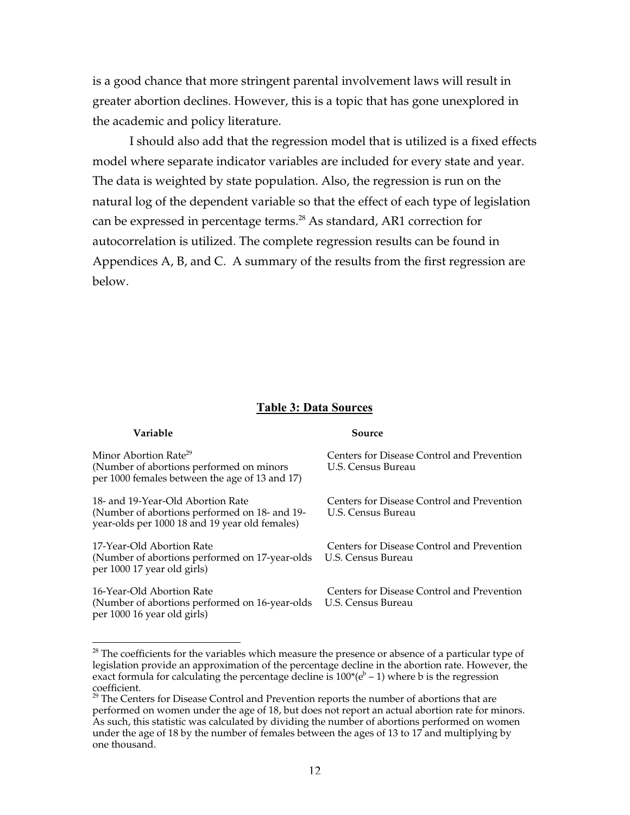is a good chance that more stringent parental involvement laws will result in greater abortion declines. However, this is a topic that has gone unexplored in the academic and policy literature.

I should also add that the regression model that is utilized is a fixed effects model where separate indicator variables are included for every state and year. The data is weighted by state population. Also, the regression is run on the natural log of the dependent variable so that the effect of each type of legislation can be expressed in percentage terms. $^{28}$  As standard, AR1 correction for autocorrelation is utilized. The complete regression results can be found in Appendices A, B, and C. A summary of the results from the first regression are below.

#### **Table 3: Data Sources**

#### **Variable Source**

 $\overline{a}$ 

Minor Abortion Rate<sup>29</sup> Centers for Disease Control and Prevention (Number of abortions performed on minors U.S. Census Bureau per 1000 females between the age of 13 and 17)

18- and 19-Year-Old Abortion Rate Centers for Disease Control and Prevention<br>(Number of abortions performed on 18- and 19- U.S. Census Bureau (Number of abortions performed on 18- and 19year-olds per 1000 18 and 19 year old females)

17-Year-Old Abortion Rate Centers for Disease Control and Prevention (Number of abortions performed on 17-year-olds U.S. Census Bureau per 1000 17 year old girls)

16-Year-Old Abortion Rate Centers for Disease Control and Prevention (Number of abortions performed on 16-year-olds U.S. Census Bureau per 1000 16 year old girls)

 $^{28}$  The coefficients for the variables which measure the presence or absence of a particular type of legislation provide an approximation of the percentage decline in the abortion rate. However, the exact formula for calculating the percentage decline is  $100^*(e^b - 1)$  where b is the regression coefficient.

 $^{29}$  The Centers for Disease Control and Prevention reports the number of abortions that are performed on women under the age of 18, but does not report an actual abortion rate for minors. As such, this statistic was calculated by dividing the number of abortions performed on women under the age of 18 by the number of females between the ages of 13 to 17 and multiplying by one thousand.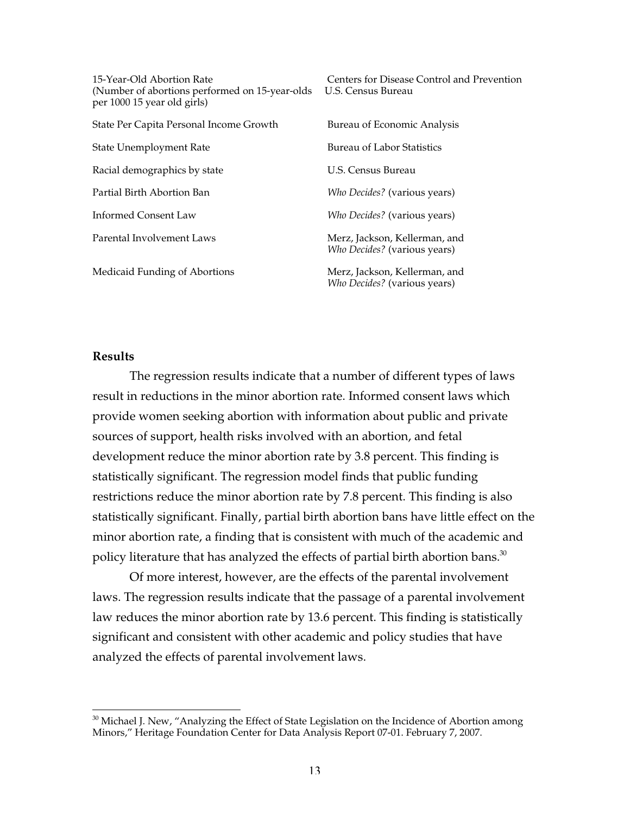| 15-Year-Old Abortion Rate<br>(Number of abortions performed on 15-year-olds)<br>per 1000 15 year old girls) | Centers for Disease Control and Prevention<br>U.S. Census Bureau     |
|-------------------------------------------------------------------------------------------------------------|----------------------------------------------------------------------|
| State Per Capita Personal Income Growth                                                                     | Bureau of Economic Analysis                                          |
| State Unemployment Rate                                                                                     | <b>Bureau of Labor Statistics</b>                                    |
| Racial demographics by state                                                                                | U.S. Census Bureau                                                   |
| Partial Birth Abortion Ban                                                                                  | Who Decides? (various years)                                         |
| <b>Informed Consent Law</b>                                                                                 | Who Decides? (various years)                                         |
| Parental Involvement Laws                                                                                   | Merz, Jackson, Kellerman, and<br>Who Decides? (various years)        |
| Medicaid Funding of Abortions                                                                               | Merz, Jackson, Kellerman, and<br><i>Who Decides?</i> (various years) |

#### **Results**

 $\overline{a}$ 

The regression results indicate that a number of different types of laws result in reductions in the minor abortion rate. Informed consent laws which provide women seeking abortion with information about public and private sources of support, health risks involved with an abortion, and fetal development reduce the minor abortion rate by 3.8 percent. This finding is statistically significant. The regression model finds that public funding restrictions reduce the minor abortion rate by 7.8 percent. This finding is also statistically significant. Finally, partial birth abortion bans have little effect on the minor abortion rate, a finding that is consistent with much of the academic and policy literature that has analyzed the effects of partial birth abortion bans.<sup>30</sup>

Of more interest, however, are the effects of the parental involvement laws. The regression results indicate that the passage of a parental involvement law reduces the minor abortion rate by 13.6 percent. This finding is statistically significant and consistent with other academic and policy studies that have analyzed the effects of parental involvement laws.

 $^{30}$  Michael J. New, "Analyzing the Effect of State Legislation on the Incidence of Abortion among Minors," Heritage Foundation Center for Data Analysis Report 07-01. February 7, 2007.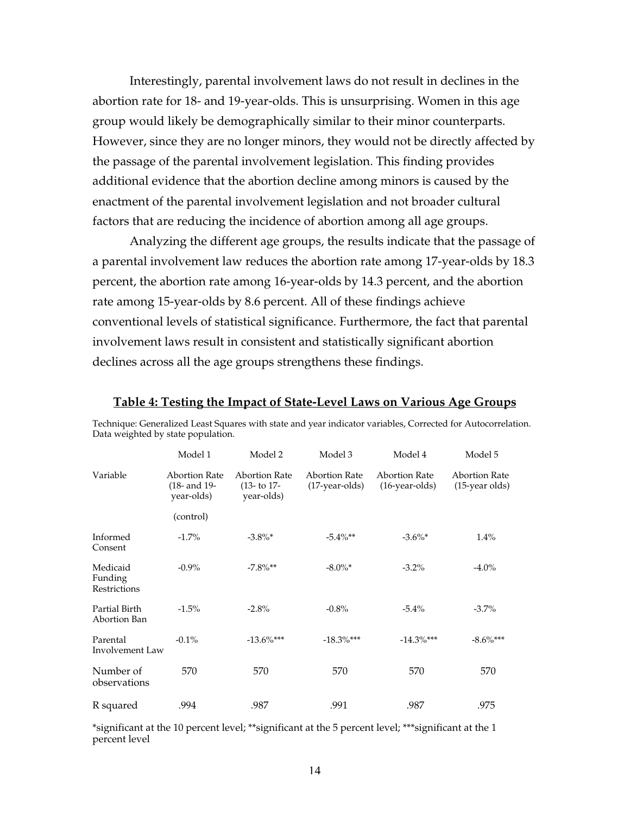Interestingly, parental involvement laws do not result in declines in the abortion rate for 18- and 19-year-olds. This is unsurprising. Women in this age group would likely be demographically similar to their minor counterparts. However, since they are no longer minors, they would not be directly affected by the passage of the parental involvement legislation. This finding provides additional evidence that the abortion decline among minors is caused by the enactment of the parental involvement legislation and not broader cultural factors that are reducing the incidence of abortion among all age groups.

Analyzing the different age groups, the results indicate that the passage of a parental involvement law reduces the abortion rate among 17-year-olds by 18.3 percent, the abortion rate among 16-year-olds by 14.3 percent, and the abortion rate among 15-year-olds by 8.6 percent. All of these findings achieve conventional levels of statistical significance. Furthermore, the fact that parental involvement laws result in consistent and statistically significant abortion declines across all the age groups strengthens these findings.

|                                     | Model 1                                            | Model 2                                             | Model 3                                  | Model 4                                | Model 5                                   |
|-------------------------------------|----------------------------------------------------|-----------------------------------------------------|------------------------------------------|----------------------------------------|-------------------------------------------|
| Variable                            | <b>Abortion Rate</b><br>(18- and 19-<br>year-olds) | <b>Abortion Rate</b><br>$(13 - t) 17$<br>year-olds) | <b>Abortion Rate</b><br>$(17-year-olds)$ | <b>Abortion Rate</b><br>(16-year-olds) | <b>Abortion Rate</b><br>$(15$ -year olds) |
|                                     | (control)                                          |                                                     |                                          |                                        |                                           |
| Informed<br>Consent                 | $-1.7\%$                                           | $-3.8\%$ *                                          | $-5.4\%**$                               | $-3.6\%$ *                             | 1.4%                                      |
| Medicaid<br>Funding<br>Restrictions | $-0.9\%$                                           | $-7.8\%**$                                          | $-8.0\%$ *                               | $-3.2\%$                               | $-4.0\%$                                  |
| Partial Birth<br>Abortion Ban       | $-1.5\%$                                           | $-2.8%$                                             | $-0.8\%$                                 | $-5.4\%$                               | $-3.7\%$                                  |
| Parental<br>Involvement Law         | $-0.1\%$                                           | $-13.6\%$ ***                                       | $-18.3\%$ ***                            | $-14.3\%$ ***                          | $-8.6\%$ ***                              |
| Number of<br>observations           | 570                                                | 570                                                 | 570                                      | 570                                    | 570                                       |
| R squared                           | .994                                               | .987                                                | .991                                     | .987                                   | .975                                      |

**Table 4: Testing the Impact of State-Level Laws on Various Age Groups** Technique: Generalized Least Squares with state and year indicator variables, Corrected for Autocorrelation.

Data weighted by state population.

\*significant at the 10 percent level; \*\*significant at the 5 percent level; \*\*\*significant at the 1 percent level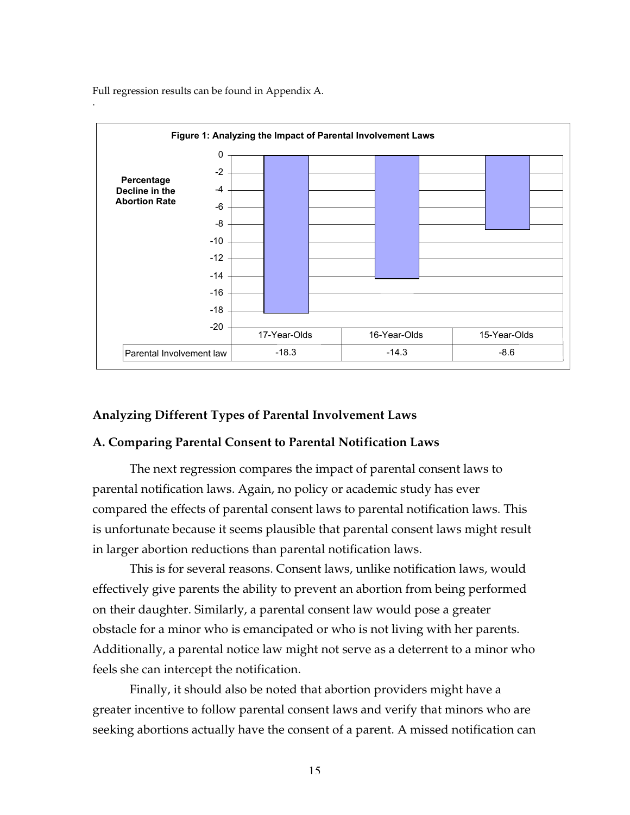Full regression results can be found in Appendix A.



#### **Analyzing Different Types of Parental Involvement Laws**

#### **A. Comparing Parental Consent to Parental Notification Laws**

The next regression compares the impact of parental consent laws to parental notification laws. Again, no policy or academic study has ever compared the effects of parental consent laws to parental notification laws. This is unfortunate because it seems plausible that parental consent laws might result in larger abortion reductions than parental notification laws.

This is for several reasons. Consent laws, unlike notification laws, would effectively give parents the ability to prevent an abortion from being performed on their daughter. Similarly, a parental consent law would pose a greater obstacle for a minor who is emancipated or who is not living with her parents. Additionally, a parental notice law might not serve as a deterrent to a minor who feels she can intercept the notification.

Finally, it should also be noted that abortion providers might have a greater incentive to follow parental consent laws and verify that minors who are seeking abortions actually have the consent of a parent. A missed notification can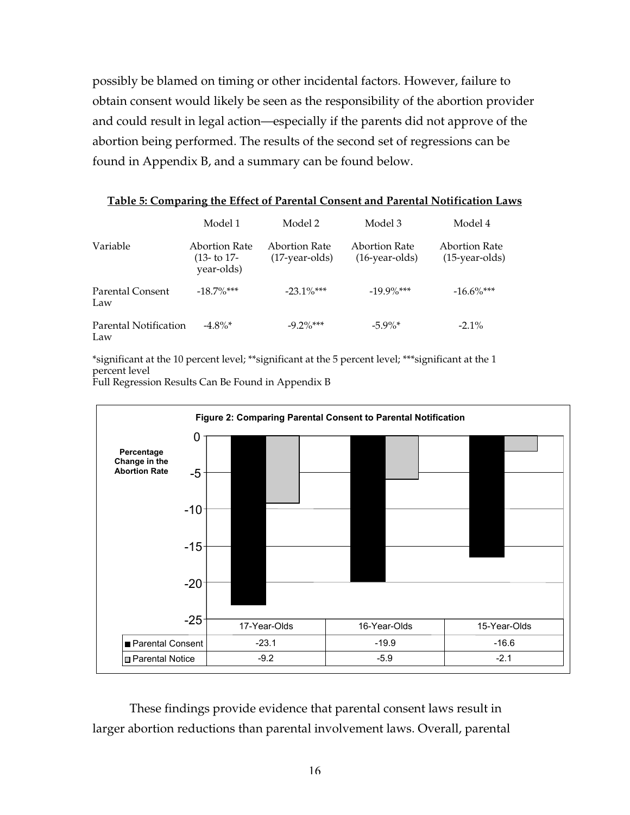possibly be blamed on timing or other incidental factors. However, failure to obtain consent would likely be seen as the responsibility of the abortion provider and could result in legal action—especially if the parents did not approve of the abortion being performed. The results of the second set of regressions can be found in Appendix B, and a summary can be found below.

|                              | Model 1                                      | Model 2                           | Model 3                            | Model 4                            |
|------------------------------|----------------------------------------------|-----------------------------------|------------------------------------|------------------------------------|
| Variable                     | Abortion Rate<br>$(13 - t) 17$<br>year-olds) | Abortion Rate<br>$(17-year-olds)$ | Abortion Rate<br>$(16$ -year-olds) | Abortion Rate<br>$(15$ -year-olds) |
| Parental Consent<br>Law      | $-18.7\%$ ***                                | $-23.1\%$ ***                     | $-19.9\%$ ***                      | $-16.6\%$ ***                      |
| Parental Notification<br>Law | $-4.8\%$ *                                   | $-9.2\%$ ***                      | $-5.9\%$ *                         | $-2.1\%$                           |

**Table 5: Comparing the Effect of Parental Consent and Parental Notification Laws**

\*significant at the 10 percent level; \*\*significant at the 5 percent level; \*\*\*significant at the 1 percent level

Full Regression Results Can Be Found in Appendix B



These findings provide evidence that parental consent laws result in larger abortion reductions than parental involvement laws. Overall, parental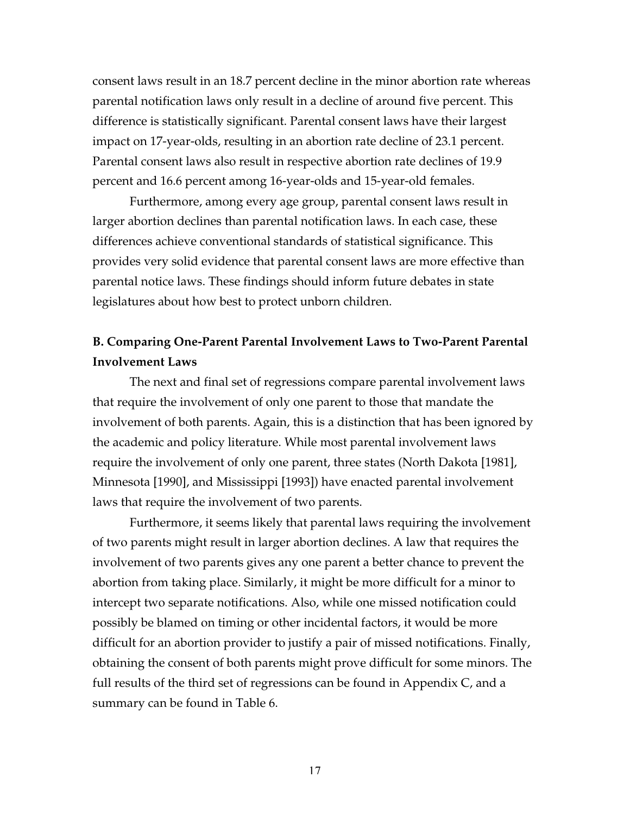consent laws result in an 18.7 percent decline in the minor abortion rate whereas parental notification laws only result in a decline of around five percent. This difference is statistically significant. Parental consent laws have their largest impact on 17-year-olds, resulting in an abortion rate decline of 23.1 percent. Parental consent laws also result in respective abortion rate declines of 19.9 percent and 16.6 percent among 16-year-olds and 15-year-old females.

Furthermore, among every age group, parental consent laws result in larger abortion declines than parental notification laws. In each case, these differences achieve conventional standards of statistical significance. This provides very solid evidence that parental consent laws are more effective than parental notice laws. These findings should inform future debates in state legislatures about how best to protect unborn children.

# **B. Comparing One-Parent Parental Involvement Laws to Two-Parent Parental Involvement Laws**

The next and final set of regressions compare parental involvement laws that require the involvement of only one parent to those that mandate the involvement of both parents. Again, this is a distinction that has been ignored by the academic and policy literature. While most parental involvement laws require the involvement of only one parent, three states (North Dakota [1981], Minnesota [1990], and Mississippi [1993]) have enacted parental involvement laws that require the involvement of two parents.

Furthermore, it seems likely that parental laws requiring the involvement of two parents might result in larger abortion declines. A law that requires the involvement of two parents gives any one parent a better chance to prevent the abortion from taking place. Similarly, it might be more difficult for a minor to intercept two separate notifications. Also, while one missed notification could possibly be blamed on timing or other incidental factors, it would be more difficult for an abortion provider to justify a pair of missed notifications. Finally, obtaining the consent of both parents might prove difficult for some minors. The full results of the third set of regressions can be found in Appendix C, and a summary can be found in Table 6.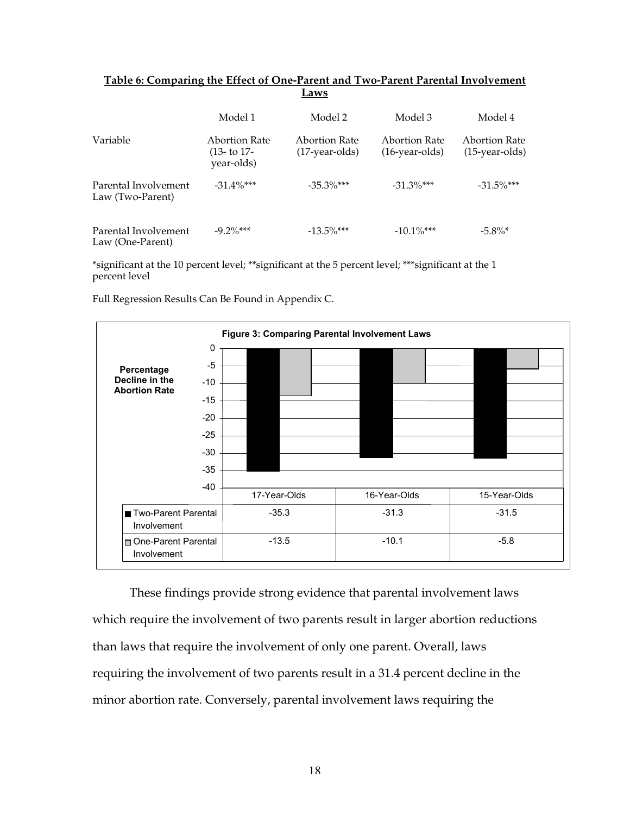|                                          |                                              | -----                              |                                    |                                    |
|------------------------------------------|----------------------------------------------|------------------------------------|------------------------------------|------------------------------------|
|                                          | Model 1                                      | Model 2                            | Model 3                            | Model 4                            |
| Variable                                 | Abortion Rate<br>$(13 - t) 17$<br>year-olds) | Abortion Rate<br>$(17$ -year-olds) | Abortion Rate<br>$(16$ -year-olds) | Abortion Rate<br>$(15$ -year-olds) |
| Parental Involvement<br>Law (Two-Parent) | $-31.4\%$ ***                                | $-35.3\%$ ***                      | $-31.3\%$ ***                      | $-31.5\%$ ***                      |
| Parental Involvement<br>Law (One-Parent) | $-9.2\%$ ***                                 | $-13.5\%$ ***                      | $-10.1\%$ ***                      | $-5.8\%$ <sup>*</sup>              |

#### **Table 6: Comparing the Effect of One-Parent and Two-Parent Parental Involvement Laws**

\*significant at the 10 percent level; \*\*significant at the 5 percent level; \*\*\*significant at the 1 percent level

Full Regression Results Can Be Found in Appendix C.



These findings provide strong evidence that parental involvement laws which require the involvement of two parents result in larger abortion reductions than laws that require the involvement of only one parent. Overall, laws requiring the involvement of two parents result in a 31.4 percent decline in the minor abortion rate. Conversely, parental involvement laws requiring the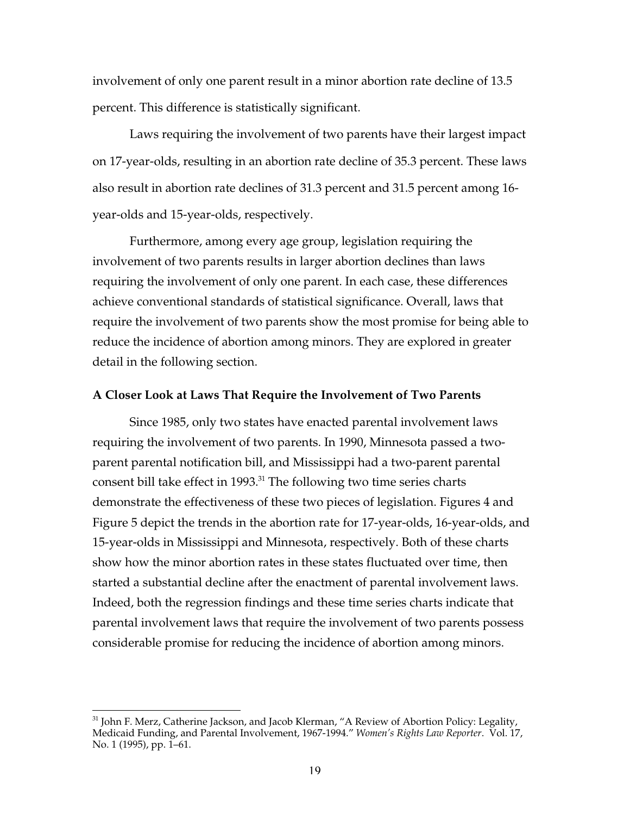involvement of only one parent result in a minor abortion rate decline of 13.5 percent. This difference is statistically significant.

Laws requiring the involvement of two parents have their largest impact on 17-year-olds, resulting in an abortion rate decline of 35.3 percent. These laws also result in abortion rate declines of 31.3 percent and 31.5 percent among 16 year-olds and 15-year-olds, respectively.

Furthermore, among every age group, legislation requiring the involvement of two parents results in larger abortion declines than laws requiring the involvement of only one parent. In each case, these differences achieve conventional standards of statistical significance. Overall, laws that require the involvement of two parents show the most promise for being able to reduce the incidence of abortion among minors. They are explored in greater detail in the following section.

#### **A Closer Look at Laws That Require the Involvement of Two Parents**

Since 1985, only two states have enacted parental involvement laws requiring the involvement of two parents. In 1990, Minnesota passed a twoparent parental notification bill, and Mississippi had a two-parent parental consent bill take effect in 1993.<sup>31</sup> The following two time series charts demonstrate the effectiveness of these two pieces of legislation. Figures 4 and Figure 5 depict the trends in the abortion rate for 17-year-olds, 16-year-olds, and 15-year-olds in Mississippi and Minnesota, respectively. Both of these charts show how the minor abortion rates in these states fluctuated over time, then started a substantial decline after the enactment of parental involvement laws. Indeed, both the regression findings and these time series charts indicate that parental involvement laws that require the involvement of two parents possess considerable promise for reducing the incidence of abortion among minors.

31 John F. Merz, Catherine Jackson, and Jacob Klerman, "A Review of Abortion Policy: Legality, Medicaid Funding, and Parental Involvement, 1967-1994." *Women's Rights Law Reporter*. Vol. 17, No. 1 (1995), pp. 1–61.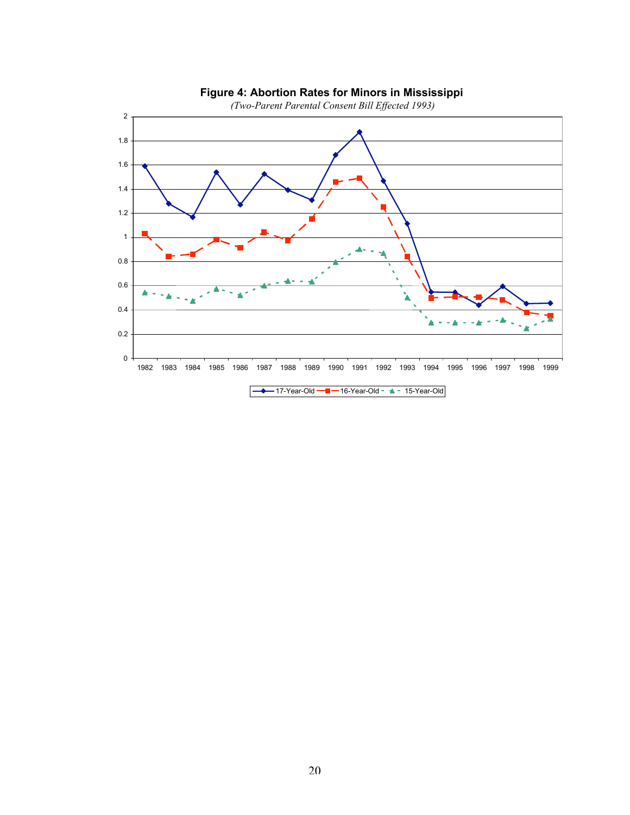

#### **Figure 4: Abortion Rates for Minors in Mississippi**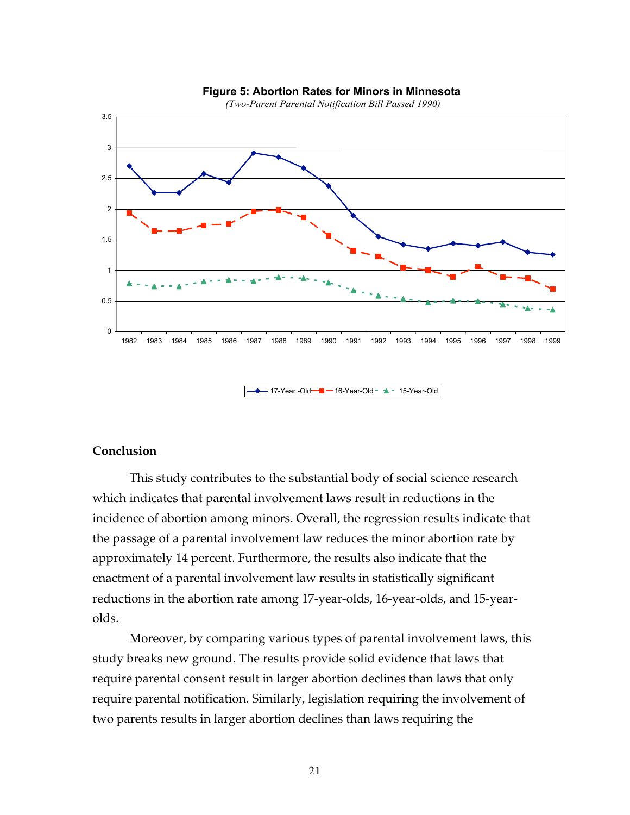

 $-17$ -Year -Old $-16$ -Year-Old  $-15$ -Year-Old

#### **Figure 5: Abortion Rates for Minors in Minnesota**

#### **Conclusion**

This study contributes to the substantial body of social science research which indicates that parental involvement laws result in reductions in the incidence of abortion among minors. Overall, the regression results indicate that the passage of a parental involvement law reduces the minor abortion rate by approximately 14 percent. Furthermore, the results also indicate that the enactment of a parental involvement law results in statistically significant reductions in the abortion rate among 17-year-olds, 16-year-olds, and 15-yearolds.

Moreover, by comparing various types of parental involvement laws, this study breaks new ground. The results provide solid evidence that laws that require parental consent result in larger abortion declines than laws that only require parental notification. Similarly, legislation requiring the involvement of two parents results in larger abortion declines than laws requiring the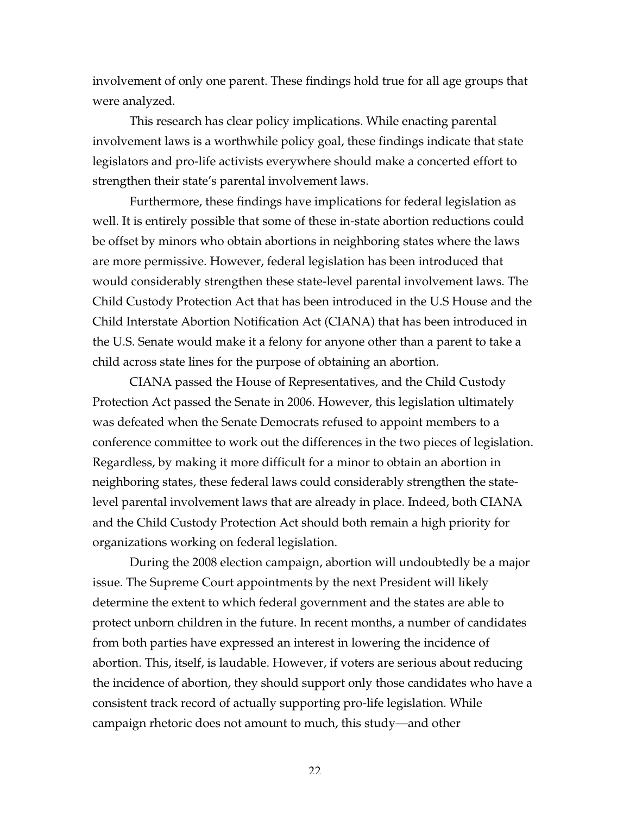involvement of only one parent. These findings hold true for all age groups that were analyzed.

This research has clear policy implications. While enacting parental involvement laws is a worthwhile policy goal, these findings indicate that state legislators and pro-life activists everywhere should make a concerted effort to strengthen their state's parental involvement laws.

Furthermore, these findings have implications for federal legislation as well. It is entirely possible that some of these in-state abortion reductions could be offset by minors who obtain abortions in neighboring states where the laws are more permissive. However, federal legislation has been introduced that would considerably strengthen these state-level parental involvement laws. The Child Custody Protection Act that has been introduced in the U.S House and the Child Interstate Abortion Notification Act (CIANA) that has been introduced in the U.S. Senate would make it a felony for anyone other than a parent to take a child across state lines for the purpose of obtaining an abortion.

CIANA passed the House of Representatives, and the Child Custody Protection Act passed the Senate in 2006. However, this legislation ultimately was defeated when the Senate Democrats refused to appoint members to a conference committee to work out the differences in the two pieces of legislation. Regardless, by making it more difficult for a minor to obtain an abortion in neighboring states, these federal laws could considerably strengthen the statelevel parental involvement laws that are already in place. Indeed, both CIANA and the Child Custody Protection Act should both remain a high priority for organizations working on federal legislation.

During the 2008 election campaign, abortion will undoubtedly be a major issue. The Supreme Court appointments by the next President will likely determine the extent to which federal government and the states are able to protect unborn children in the future. In recent months, a number of candidates from both parties have expressed an interest in lowering the incidence of abortion. This, itself, is laudable. However, if voters are serious about reducing the incidence of abortion, they should support only those candidates who have a consistent track record of actually supporting pro-life legislation. While campaign rhetoric does not amount to much, this study—and other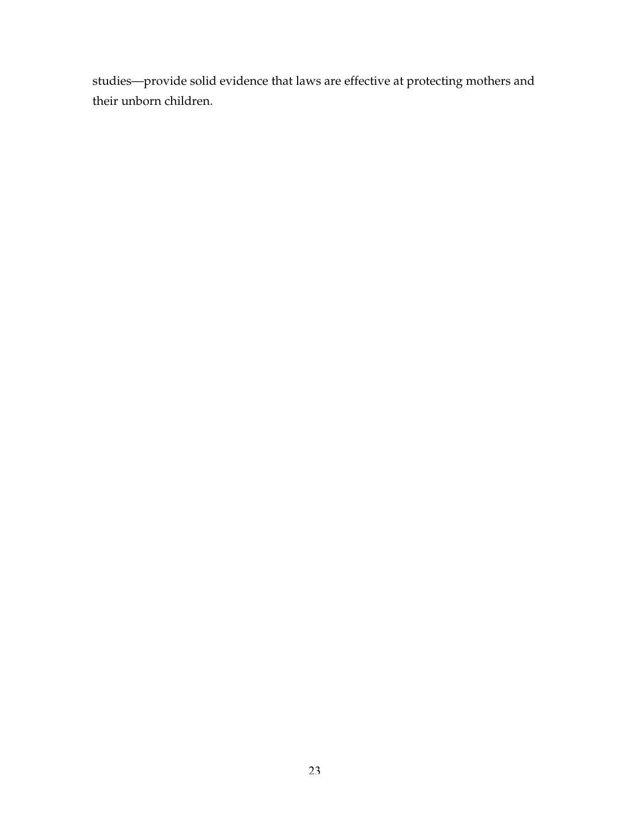studies—provide solid evidence that laws are effective at protecting mothers and their unborn children.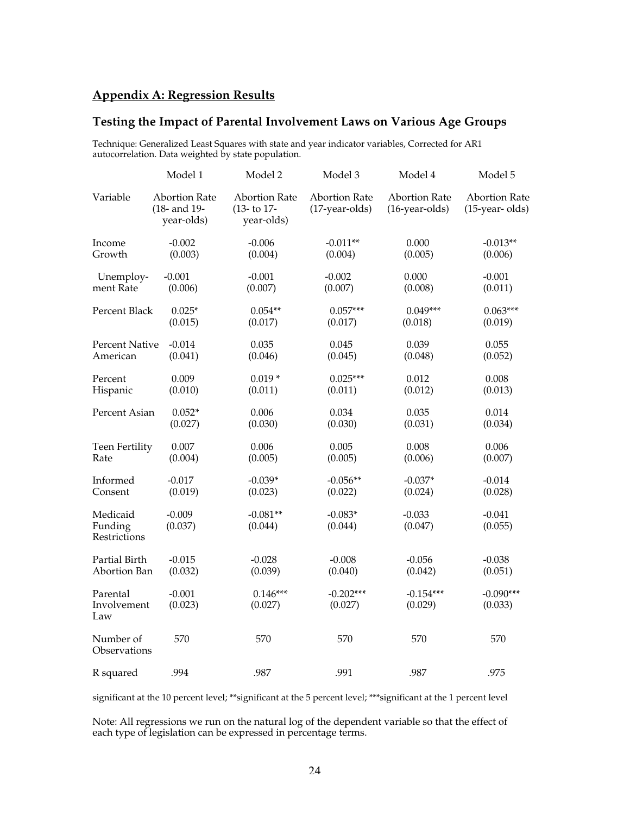# **Appendix A: Regression Results**

# **Testing the Impact of Parental Involvement Laws on Various Age Groups**

Technique: Generalized Least Squares with state and year indicator variables, Corrected for AR1 autocorrelation. Data weighted by state population.

|                                     | Model 1                                            | Model 2                                               | Model 3                                  | Model 4                                   | Model 5                                   |
|-------------------------------------|----------------------------------------------------|-------------------------------------------------------|------------------------------------------|-------------------------------------------|-------------------------------------------|
| Variable                            | <b>Abortion Rate</b><br>(18- and 19-<br>year-olds) | <b>Abortion Rate</b><br>$(13 - to 17 -$<br>year-olds) | <b>Abortion Rate</b><br>$(17-year-olds)$ | <b>Abortion Rate</b><br>$(16$ -year-olds) | <b>Abortion Rate</b><br>$(15$ -year-olds) |
| Income                              | $-0.002$                                           | $-0.006$                                              | $-0.011**$                               | 0.000                                     | $-0.013**$                                |
| Growth                              | (0.003)                                            | (0.004)                                               | (0.004)                                  | (0.005)                                   | (0.006)                                   |
| Unemploy-                           | $-0.001$                                           | $-0.001$                                              | $-0.002$                                 | 0.000                                     | $-0.001$                                  |
| ment Rate                           | (0.006)                                            | (0.007)                                               | (0.007)                                  | (0.008)                                   | (0.011)                                   |
| Percent Black                       | $0.025*$                                           | $0.054**$                                             | $0.057***$                               | $0.049***$                                | $0.063***$                                |
|                                     | (0.015)                                            | (0.017)                                               | (0.017)                                  | (0.018)                                   | (0.019)                                   |
| <b>Percent Native</b>               | $-0.014$                                           | 0.035                                                 | 0.045                                    | 0.039                                     | 0.055                                     |
| American                            | (0.041)                                            | (0.046)                                               | (0.045)                                  | (0.048)                                   | (0.052)                                   |
| Percent                             | 0.009                                              | $0.019*$                                              | $0.025***$                               | 0.012                                     | 0.008                                     |
| Hispanic                            | (0.010)                                            | (0.011)                                               | (0.011)                                  | (0.012)                                   | (0.013)                                   |
| Percent Asian                       | $0.052*$                                           | 0.006                                                 | 0.034                                    | 0.035                                     | 0.014                                     |
|                                     | (0.027)                                            | (0.030)                                               | (0.030)                                  | (0.031)                                   | (0.034)                                   |
| Teen Fertility                      | 0.007                                              | 0.006                                                 | 0.005                                    | 0.008                                     | 0.006                                     |
| Rate                                | (0.004)                                            | (0.005)                                               | (0.005)                                  | (0.006)                                   | (0.007)                                   |
| Informed                            | $-0.017$                                           | $-0.039*$                                             | $-0.056**$                               | $-0.037*$                                 | $-0.014$                                  |
| Consent                             | (0.019)                                            | (0.023)                                               | (0.022)                                  | (0.024)                                   | (0.028)                                   |
| Medicaid<br>Funding<br>Restrictions | $-0.009$<br>(0.037)                                | $-0.081**$<br>(0.044)                                 | $-0.083*$<br>(0.044)                     | $-0.033$<br>(0.047)                       | $-0.041$<br>(0.055)                       |
| Partial Birth                       | $-0.015$                                           | $-0.028$                                              | $-0.008$                                 | $-0.056$                                  | $-0.038$                                  |
| Abortion Ban                        | (0.032)                                            | (0.039)                                               | (0.040)                                  | (0.042)                                   | (0.051)                                   |
| Parental<br>Involvement<br>Law      | $-0.001$<br>(0.023)                                | $0.146***$<br>(0.027)                                 | $-0.202***$<br>(0.027)                   | $-0.154***$<br>(0.029)                    | $-0.090***$<br>(0.033)                    |
| Number of<br>Observations           | 570                                                | 570                                                   | 570                                      | 570                                       | 570                                       |
| R squared                           | .994                                               | .987                                                  | .991                                     | .987                                      | .975                                      |

significant at the 10 percent level; \*\*significant at the 5 percent level; \*\*\*significant at the 1 percent level

Note: All regressions we run on the natural log of the dependent variable so that the effect of each type of legislation can be expressed in percentage terms.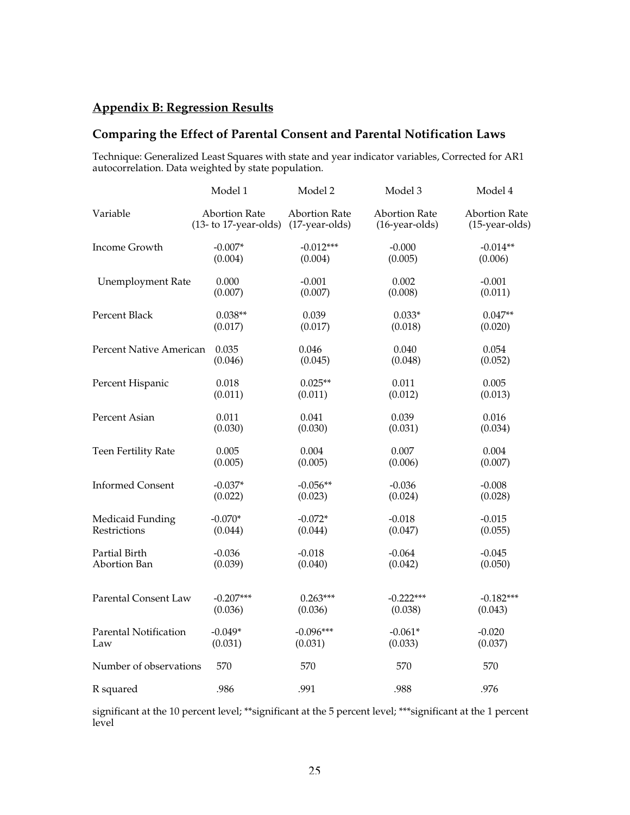# **Appendix B: Regression Results**

# **Comparing the Effect of Parental Consent and Parental Notification Laws**

Technique: Generalized Least Squares with state and year indicator variables, Corrected for AR1 autocorrelation. Data weighted by state population.

|                              | Model 1                 | Model 2              | Model 3              | Model 4              |
|------------------------------|-------------------------|----------------------|----------------------|----------------------|
| Variable                     | <b>Abortion Rate</b>    | <b>Abortion Rate</b> | <b>Abortion Rate</b> | <b>Abortion Rate</b> |
|                              | $(13-$ to 17-year-olds) | (17-year-olds)       | (16-year-olds)       | $(15$ -year-olds)    |
| Income Growth                | $-0.007*$               | $-0.012***$          | $-0.000$             | $-0.014**$           |
|                              | (0.004)                 | (0.004)              | (0.005)              | (0.006)              |
| <b>Unemployment Rate</b>     | 0.000                   | $-0.001$             | 0.002                | $-0.001$             |
|                              | (0.007)                 | (0.007)              | (0.008)              | (0.011)              |
| Percent Black                | $0.038**$               | 0.039                | $0.033*$             | $0.047**$            |
|                              | (0.017)                 | (0.017)              | (0.018)              | (0.020)              |
| Percent Native American      | 0.035                   | 0.046                | 0.040                | 0.054                |
|                              | (0.046)                 | (0.045)              | (0.048)              | (0.052)              |
| Percent Hispanic             | 0.018                   | $0.025**$            | 0.011                | 0.005                |
|                              | (0.011)                 | (0.011)              | (0.012)              | (0.013)              |
| Percent Asian                | 0.011                   | 0.041                | 0.039                | 0.016                |
|                              | (0.030)                 | (0.030)              | (0.031)              | (0.034)              |
| Teen Fertility Rate          | 0.005                   | 0.004                | 0.007                | 0.004                |
|                              | (0.005)                 | (0.005)              | (0.006)              | (0.007)              |
| <b>Informed Consent</b>      | $-0.037*$               | $-0.056**$           | $-0.036$             | $-0.008$             |
|                              | (0.022)                 | (0.023)              | (0.024)              | (0.028)              |
| Medicaid Funding             | $-0.070*$               | $-0.072*$            | $-0.018$             | $-0.015$             |
| Restrictions                 | (0.044)                 | (0.044)              | (0.047)              | (0.055)              |
| Partial Birth                | $-0.036$                | $-0.018$             | $-0.064$             | $-0.045$             |
| Abortion Ban                 | (0.039)                 | (0.040)              | (0.042)              | (0.050)              |
| Parental Consent Law         | $-0.207***$             | $0.263***$           | $-0.222***$          | $-0.182***$          |
|                              | (0.036)                 | (0.036)              | (0.038)              | (0.043)              |
| <b>Parental Notification</b> | $-0.049*$               | $-0.096***$          | $-0.061*$            | $-0.020$             |
| Law                          | (0.031)                 | (0.031)              | (0.033)              | (0.037)              |
| Number of observations       | 570                     | 570                  | 570                  | 570                  |
| R squared                    | .986                    | .991                 | .988                 | .976                 |

significant at the 10 percent level; \*\*significant at the 5 percent level; \*\*\*significant at the 1 percent level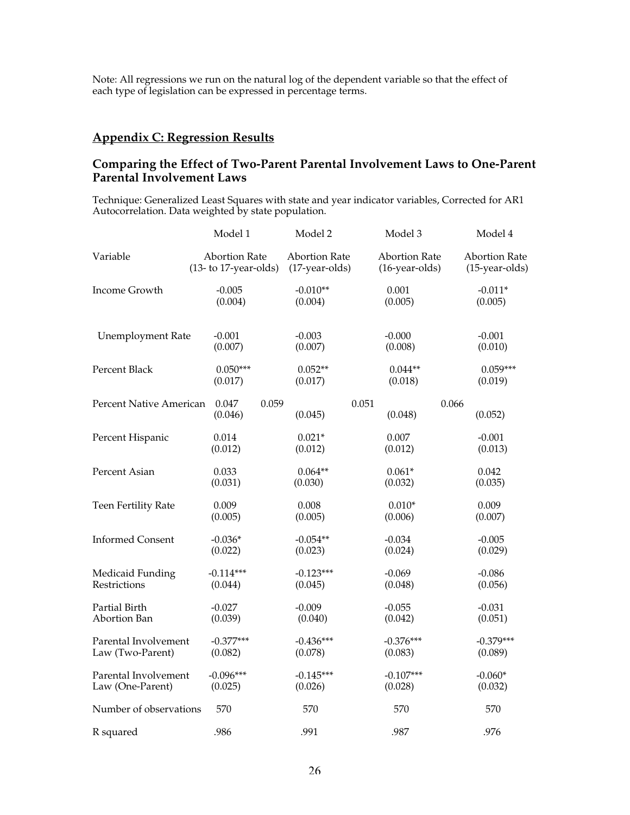Note: All regressions we run on the natural log of the dependent variable so that the effect of each type of legislation can be expressed in percentage terms.

# **Appendix C: Regression Results**

# **Comparing the Effect of Two-Parent Parental Involvement Laws to One-Parent Parental Involvement Laws**

Technique: Generalized Least Squares with state and year indicator variables, Corrected for AR1 Autocorrelation. Data weighted by state population.

|                          | Model 1                 | Model 2              | Model 3              | Model 4              |
|--------------------------|-------------------------|----------------------|----------------------|----------------------|
| Variable                 | <b>Abortion Rate</b>    | <b>Abortion Rate</b> | <b>Abortion Rate</b> | <b>Abortion Rate</b> |
|                          | $(13-$ to 17-year-olds) | (17-year-olds)       | (16-year-olds)       | $(15$ -year-olds)    |
| Income Growth            | $-0.005$                | $-0.010**$           | 0.001                | $-0.011*$            |
|                          | (0.004)                 | (0.004)              | (0.005)              | (0.005)              |
| <b>Unemployment Rate</b> | $-0.001$                | $-0.003$             | $-0.000$             | $-0.001$             |
|                          | (0.007)                 | (0.007)              | (0.008)              | (0.010)              |
| Percent Black            | $0.050***$              | $0.052**$            | $0.044**$            | $0.059***$           |
|                          | (0.017)                 | (0.017)              | (0.018)              | (0.019)              |
| Percent Native American  | 0.047                   | 0.059                | 0.051                | 0.066                |
|                          | (0.046)                 | (0.045)              | (0.048)              | (0.052)              |
| Percent Hispanic         | 0.014                   | $0.021*$             | 0.007                | $-0.001$             |
|                          | (0.012)                 | (0.012)              | (0.012)              | (0.013)              |
| Percent Asian            | 0.033                   | $0.064**$            | $0.061*$             | 0.042                |
|                          | (0.031)                 | (0.030)              | (0.032)              | (0.035)              |
| Teen Fertility Rate      | 0.009                   | 0.008                | $0.010*$             | 0.009                |
|                          | (0.005)                 | (0.005)              | (0.006)              | (0.007)              |
| <b>Informed Consent</b>  | $-0.036*$               | $-0.054**$           | $-0.034$             | $-0.005$             |
|                          | (0.022)                 | (0.023)              | (0.024)              | (0.029)              |
| Medicaid Funding         | $-0.114***$             | $-0.123***$          | $-0.069$             | $-0.086$             |
| Restrictions             | (0.044)                 | (0.045)              | (0.048)              | (0.056)              |
| Partial Birth            | $-0.027$                | $-0.009$             | $-0.055$             | $-0.031$             |
| Abortion Ban             | (0.039)                 | (0.040)              | (0.042)              | (0.051)              |
| Parental Involvement     | $-0.377***$             | $-0.436***$          | $-0.376***$          | $-0.379***$          |
| Law (Two-Parent)         | (0.082)                 | (0.078)              | (0.083)              | (0.089)              |
| Parental Involvement     | $-0.096***$             | $-0.145***$          | $-0.107***$          | $-0.060*$            |
| Law (One-Parent)         | (0.025)                 | (0.026)              | (0.028)              | (0.032)              |
| Number of observations   | 570                     | 570                  | 570                  | 570                  |
| R squared                | .986                    | .991                 | .987                 | .976                 |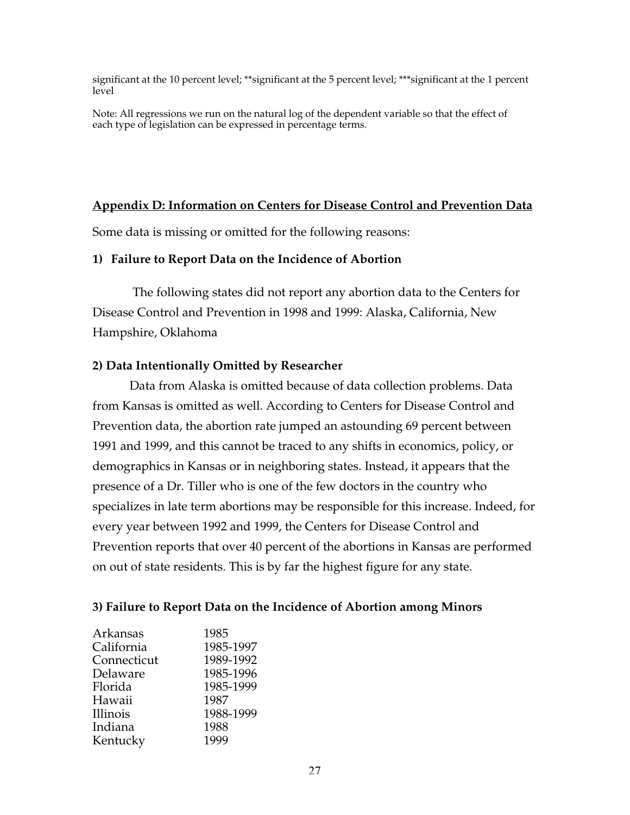significant at the 10 percent level; \*\*significant at the 5 percent level; \*\*\*significant at the 1 percent level

Note: All regressions we run on the natural log of the dependent variable so that the effect of each type of legislation can be expressed in percentage terms.

# **Appendix D: Information on Centers for Disease Control and Prevention Data**

Some data is missing or omitted for the following reasons:

# **1) Failure to Report Data on the Incidence of Abortion**

 The following states did not report any abortion data to the Centers for Disease Control and Prevention in 1998 and 1999: Alaska, California, New Hampshire, Oklahoma

# **2) Data Intentionally Omitted by Researcher**

Data from Alaska is omitted because of data collection problems. Data from Kansas is omitted as well. According to Centers for Disease Control and Prevention data, the abortion rate jumped an astounding 69 percent between 1991 and 1999, and this cannot be traced to any shifts in economics, policy, or demographics in Kansas or in neighboring states. Instead, it appears that the presence of a Dr. Tiller who is one of the few doctors in the country who specializes in late term abortions may be responsible for this increase. Indeed, for every year between 1992 and 1999, the Centers for Disease Control and Prevention reports that over 40 percent of the abortions in Kansas are performed on out of state residents. This is by far the highest figure for any state.

# **3) Failure to Report Data on the Incidence of Abortion among Minors**

| Arkansas    | 1985      |
|-------------|-----------|
| California  | 1985-1997 |
| Connecticut | 1989-1992 |
| Delaware    | 1985-1996 |
| Florida     | 1985-1999 |
| Hawaii      | 1987      |
| Illinois    | 1988-1999 |
| Indiana     | 1988      |
| Kentucky    | 1999      |
|             |           |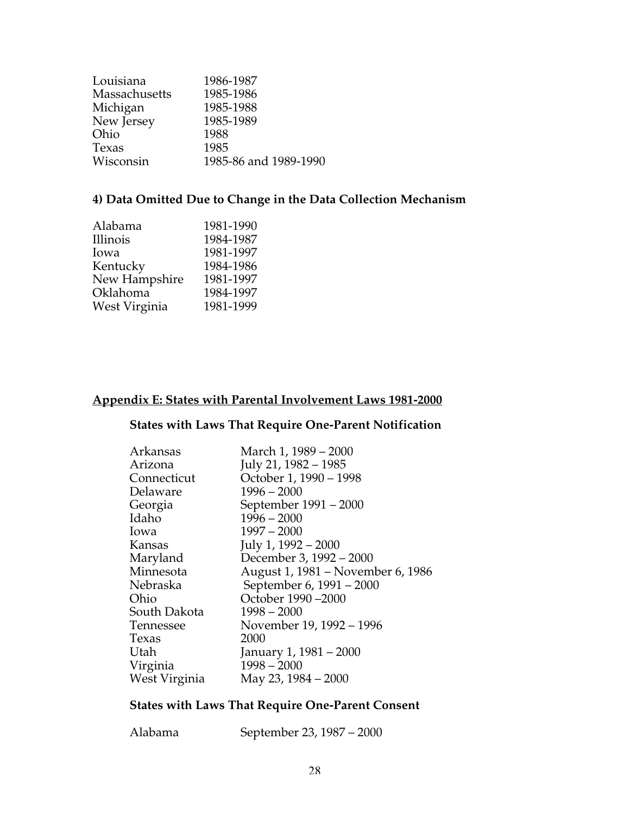| Louisiana     | 1986-1987             |
|---------------|-----------------------|
| Massachusetts | 1985-1986             |
| Michigan      | 1985-1988             |
| New Jersey    | 1985-1989             |
| Ohio          | 1988                  |
| Texas         | 1985                  |
| Wisconsin     | 1985-86 and 1989-1990 |
|               |                       |

# **4) Data Omitted Due to Change in the Data Collection Mechanism**

| 1981-1990 |
|-----------|
| 1984-1987 |
| 1981-1997 |
| 1984-1986 |
| 1981-1997 |
| 1984-1997 |
| 1981-1999 |
|           |

# **Appendix E: States with Parental Involvement Laws 1981-2000**

# **States with Laws That Require One-Parent Notification**

| Arkansas      | March 1, 1989 - 2000              |
|---------------|-----------------------------------|
| Arizona       | July 21, 1982 - 1985              |
| Connecticut   | October 1, 1990 - 1998            |
| Delaware      | $1996 - 2000$                     |
| Georgia       | September 1991 – 2000             |
| Idaho         | $1996 - 2000$                     |
| lowa          | $1997 - 2000$                     |
| Kansas        | July 1, 1992 - 2000               |
| Maryland      | December 3, 1992 - 2000           |
| Minnesota     | August 1, 1981 – November 6, 1986 |
| Nebraska      | September 6, 1991 - 2000          |
| Ohio          | October 1990-2000                 |
| South Dakota  | $1998 - 2000$                     |
| Tennessee     | November 19, 1992 – 1996          |
| Texas         | 2000                              |
| Utah          | January 1, 1981 – 2000            |
| Virginia      | $1998 - 2000$                     |
| West Virginia | May 23, 1984 – 2000               |

# **States with Laws That Require One-Parent Consent**

| Alabama | September 23, 1987 - 2000 |
|---------|---------------------------|
|---------|---------------------------|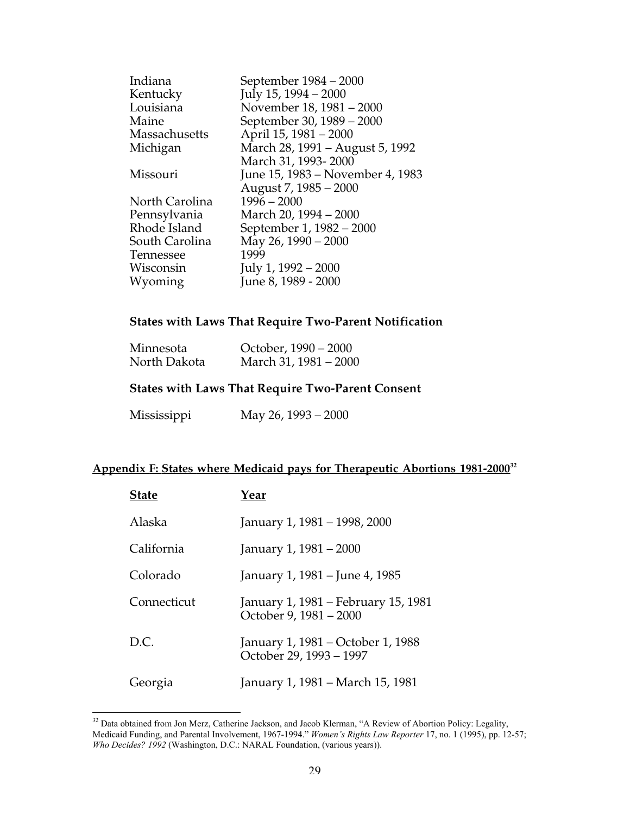| Indiana              | September 1984 – 2000            |
|----------------------|----------------------------------|
| Kentucky             | July 15, 1994 - 2000             |
| Louisiana            | November 18, 1981 - 2000         |
| Maine                | September 30, 1989 - 2000        |
| <b>Massachusetts</b> | April 15, 1981 – 2000            |
| Michigan             | March 28, 1991 – August 5, 1992  |
|                      | March 31, 1993-2000              |
| Missouri             | June 15, 1983 – November 4, 1983 |
|                      | August 7, 1985 - 2000            |
| North Carolina       | $1996 - 2000$                    |
| Pennsylvania         | March 20, 1994 - 2000            |
| Rhode Island         | September 1, 1982 – 2000         |
| South Carolina       | May 26, 1990 – 2000              |
| Tennessee            | 1999                             |
| Wisconsin            | July 1, 1992 – 2000              |
| Wyoming              | June 8, 1989 - 2000              |
|                      |                                  |

# **States with Laws That Require Two-Parent Notification**

| Minnesota    | October, 1990 – 2000  |
|--------------|-----------------------|
| North Dakota | March 31, 1981 – 2000 |

# **States with Laws That Require Two-Parent Consent**

Mississippi May 26, 1993 – 2000

#### **Appendix F: States where Medicaid pays for Therapeutic Abortions 1981-2000 32**

| <b>State</b> | Year                                                          |
|--------------|---------------------------------------------------------------|
| Alaska       | January 1, 1981 - 1998, 2000                                  |
| California   | January 1, 1981 – 2000                                        |
| Colorado     | January 1, 1981 – June 4, 1985                                |
| Connecticut  | January 1, 1981 – February 15, 1981<br>October 9, 1981 - 2000 |
| D.C.         | January 1, 1981 – October 1, 1988<br>October 29, 1993 - 1997  |
| Georgia      | January 1, 1981 – March 15, 1981                              |

<sup>&</sup>lt;sup>32</sup> Data obtained from Jon Merz, Catherine Jackson, and Jacob Klerman, "A Review of Abortion Policy: Legality, Medicaid Funding, and Parental Involvement, 1967-1994." *Women's Rights Law Reporter* 17, no. 1 (1995), pp. 12-57; *Who Decides? 1992* (Washington, D.C.: NARAL Foundation, (various years)).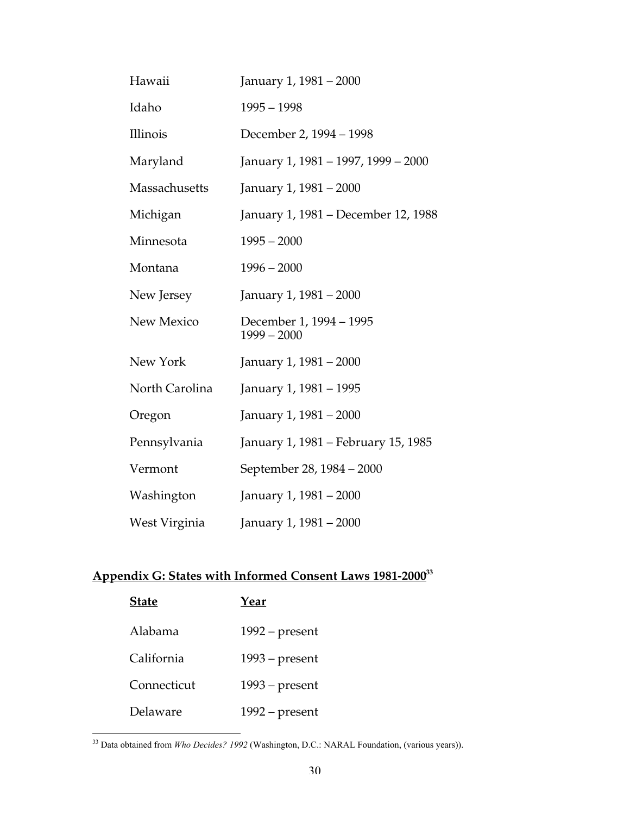| Hawaii         | January 1, 1981 - 2000                   |
|----------------|------------------------------------------|
| Idaho          | $1995 - 1998$                            |
| Illinois       | December 2, 1994 – 1998                  |
| Maryland       | January 1, 1981 - 1997, 1999 - 2000      |
| Massachusetts  | January 1, 1981 – 2000                   |
| Michigan       | January 1, 1981 – December 12, 1988      |
| Minnesota      | $1995 - 2000$                            |
| Montana        | $1996 - 2000$                            |
| New Jersey     | January 1, 1981 - 2000                   |
| New Mexico     | December 1, 1994 - 1995<br>$1999 - 2000$ |
| New York       | January 1, 1981 - 2000                   |
| North Carolina | January 1, 1981 - 1995                   |
| Oregon         | January 1, 1981 - 2000                   |
| Pennsylvania   | January 1, 1981 – February 15, 1985      |
| Vermont        | September 28, 1984 – 2000                |
| Washington     | January 1, 1981 - 2000                   |
| West Virginia  | January 1, 1981 - 2000                   |

# **Appendix G: States with Informed Consent Laws 1981-2000 33**

| <b>State</b> | Year             |
|--------------|------------------|
| Alabama      | $1992$ – present |
| California   | $1993$ – present |
| Connecticut  | $1993$ – present |
| Delaware     | $1992$ – present |

 <sup>33</sup> Data obtained from *Who Decides? 1992* (Washington, D.C.: NARAL Foundation, (various years)).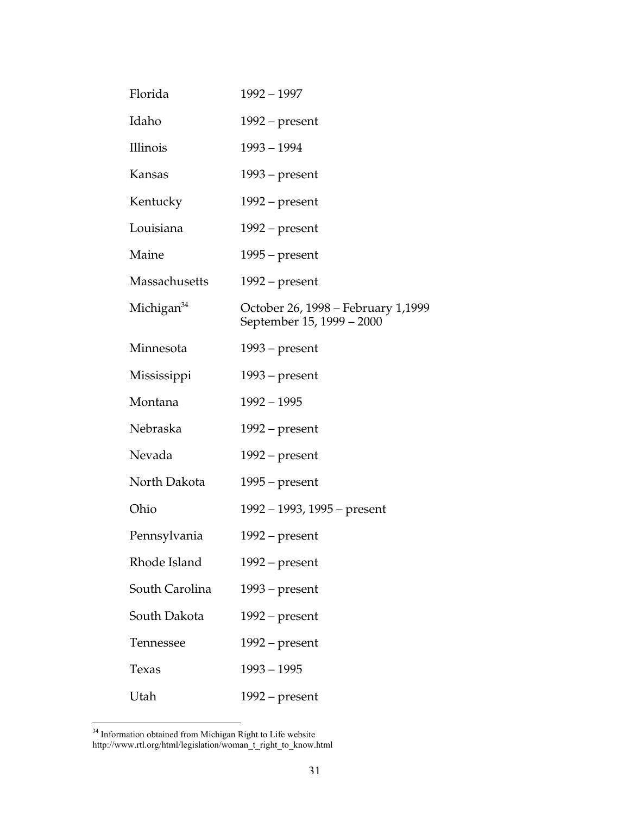| Florida                | $1992 - 1997$                                                   |
|------------------------|-----------------------------------------------------------------|
| Idaho                  | $1992$ – present                                                |
| Illinois               | $1993 - 1994$                                                   |
| <b>Kansas</b>          | $1993$ – present                                                |
| Kentucky               | $1992$ – present                                                |
| Louisiana              | $1992$ – present                                                |
| Maine                  | $1995$ – present                                                |
| <b>Massachusetts</b>   | $1992$ – present                                                |
| Michigan <sup>34</sup> | October 26, 1998 – February 1,1999<br>September 15, 1999 – 2000 |
| Minnesota              | $1993$ – present                                                |
| Mississippi            | $1993$ – present                                                |
| Montana                | $1992 - 1995$                                                   |
| Nebraska               | $1992$ – present                                                |
| Nevada                 | $1992$ – present                                                |
| North Dakota           | $1995$ – present                                                |
| Ohio                   | 1992 – 1993, 1995 – present                                     |
| Pennsylvania           | 1992 – present                                                  |
| Rhode Island           | $1992$ – present                                                |
| South Carolina         | $1993$ – present                                                |
| South Dakota           | $1992$ – present                                                |
| Tennessee              | $1992$ – present                                                |
| Texas                  | $1993 - 1995$                                                   |
| Utah                   | $1992$ – present                                                |

<sup>&</sup>lt;sup>34</sup> Information obtained from Michigan Right to Life website http://www.rtl.org/html/legislation/woman\_t\_right\_to\_know.html